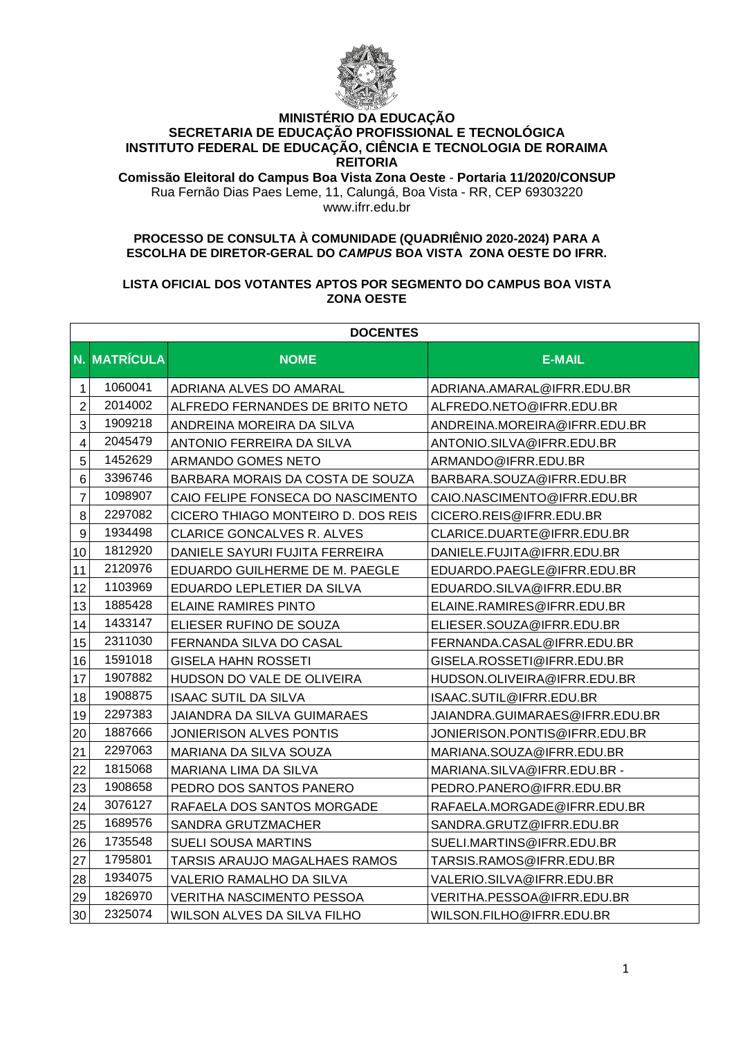

## **MINISTÉRIO DA EDUCAÇÃO SECRETARIA DE EDUCAÇÃO PROFISSIONAL E TECNOLÓGICA INSTITUTO FEDERAL DE EDUCAÇÃO, CIÊNCIA E TECNOLOGIA DE RORAIMA REITORIA**

**Comissão Eleitoral do Campus Boa Vista Zona Oeste** - **Portaria 11/2020/CONSUP** Rua Fernão Dias Paes Leme, 11, Calungá, Boa Vista - RR, CEP 69303220 www.ifrr.edu.br

## **PROCESSO DE CONSULTA À COMUNIDADE (QUADRIÊNIO 2020-2024) PARA A ESCOLHA DE DIRETOR-GERAL DO** *CAMPUS* **BOA VISTA****ZONA OESTE DO IFRR.**

## **LISTA OFICIAL DOS VOTANTES APTOS POR SEGMENTO DO CAMPUS BOA VISTA ZONA OESTE**

|                         | <b>DOCENTES</b>     |                                    |                                |  |  |
|-------------------------|---------------------|------------------------------------|--------------------------------|--|--|
|                         | <b>N. MATRÍCULA</b> | <b>NOME</b>                        | <b>E-MAIL</b>                  |  |  |
| $\mathbf{1}$            | 1060041             | ADRIANA ALVES DO AMARAL            | ADRIANA.AMARAL@IFRR.EDU.BR     |  |  |
| $\overline{2}$          | 2014002             | ALFREDO FERNANDES DE BRITO NETO    | ALFREDO.NETO@IFRR.EDU.BR       |  |  |
| 3                       | 1909218             | ANDREINA MOREIRA DA SILVA          | ANDREINA.MOREIRA@IFRR.EDU.BR   |  |  |
| $\overline{\mathbf{4}}$ | 2045479             | ANTONIO FERREIRA DA SILVA          | ANTONIO.SILVA@IFRR.EDU.BR      |  |  |
| $\sqrt{5}$              | 1452629             | ARMANDO GOMES NETO                 | ARMANDO@IFRR.EDU.BR            |  |  |
| 6                       | 3396746             | BARBARA MORAIS DA COSTA DE SOUZA   | BARBARA.SOUZA@IFRR.EDU.BR      |  |  |
| $\overline{7}$          | 1098907             | CAIO FELIPE FONSECA DO NASCIMENTO  | CAIO.NASCIMENTO@IFRR.EDU.BR    |  |  |
| 8                       | 2297082             | CICERO THIAGO MONTEIRO D. DOS REIS | CICERO.REIS@IFRR.EDU.BR        |  |  |
| $\boldsymbol{9}$        | 1934498             | <b>CLARICE GONCALVES R. ALVES</b>  | CLARICE.DUARTE@IFRR.EDU.BR     |  |  |
| 10                      | 1812920             | DANIELE SAYURI FUJITA FERREIRA     | DANIELE.FUJITA@IFRR.EDU.BR     |  |  |
| 11                      | 2120976             | EDUARDO GUILHERME DE M. PAEGLE     | EDUARDO.PAEGLE@IFRR.EDU.BR     |  |  |
| 12                      | 1103969             | EDUARDO LEPLETIER DA SILVA         | EDUARDO.SILVA@IFRR.EDU.BR      |  |  |
| 13                      | 1885428             | <b>ELAINE RAMIRES PINTO</b>        | ELAINE.RAMIRES@IFRR.EDU.BR     |  |  |
| 14                      | 1433147             | ELIESER RUFINO DE SOUZA            | ELIESER.SOUZA@IFRR.EDU.BR      |  |  |
| 15                      | 2311030             | FERNANDA SILVA DO CASAL            | FERNANDA.CASAL@IFRR.EDU.BR     |  |  |
| 16                      | 1591018             | GISELA HAHN ROSSETI                | GISELA.ROSSETI@IFRR.EDU.BR     |  |  |
| 17                      | 1907882             | HUDSON DO VALE DE OLIVEIRA         | HUDSON.OLIVEIRA@IFRR.EDU.BR    |  |  |
| 18                      | 1908875             | <b>ISAAC SUTIL DA SILVA</b>        | ISAAC.SUTIL@IFRR.EDU.BR        |  |  |
| 19                      | 2297383             | JAIANDRA DA SILVA GUIMARAES        | JAIANDRA.GUIMARAES@IFRR.EDU.BR |  |  |
| 20                      | 1887666             | <b>JONIERISON ALVES PONTIS</b>     | JONIERISON.PONTIS@IFRR.EDU.BR  |  |  |
| 21                      | 2297063             | MARIANA DA SILVA SOUZA             | MARIANA.SOUZA@IFRR.EDU.BR      |  |  |
| 22                      | 1815068             | MARIANA LIMA DA SILVA              | MARIANA.SILVA@IFRR.EDU.BR -    |  |  |
| 23                      | 1908658             | PEDRO DOS SANTOS PANERO            | PEDRO.PANERO@IFRR.EDU.BR       |  |  |
| 24                      | 3076127             | RAFAELA DOS SANTOS MORGADE         | RAFAELA.MORGADE@IFRR.EDU.BR    |  |  |
| 25                      | 1689576             | SANDRA GRUTZMACHER                 | SANDRA.GRUTZ@IFRR.EDU.BR       |  |  |
| 26                      | 1735548             | <b>SUELI SOUSA MARTINS</b>         | SUELI.MARTINS@IFRR.EDU.BR      |  |  |
| 27                      | 1795801             | TARSIS ARAUJO MAGALHAES RAMOS      | TARSIS.RAMOS@IFRR.EDU.BR       |  |  |
| 28                      | 1934075             | VALERIO RAMALHO DA SILVA           | VALERIO.SILVA@IFRR.EDU.BR      |  |  |
| 29                      | 1826970             | <b>VERITHA NASCIMENTO PESSOA</b>   | VERITHA.PESSOA@IFRR.EDU.BR     |  |  |
| 30                      | 2325074             | WILSON ALVES DA SILVA FILHO        | WILSON.FILHO@IFRR.EDU.BR       |  |  |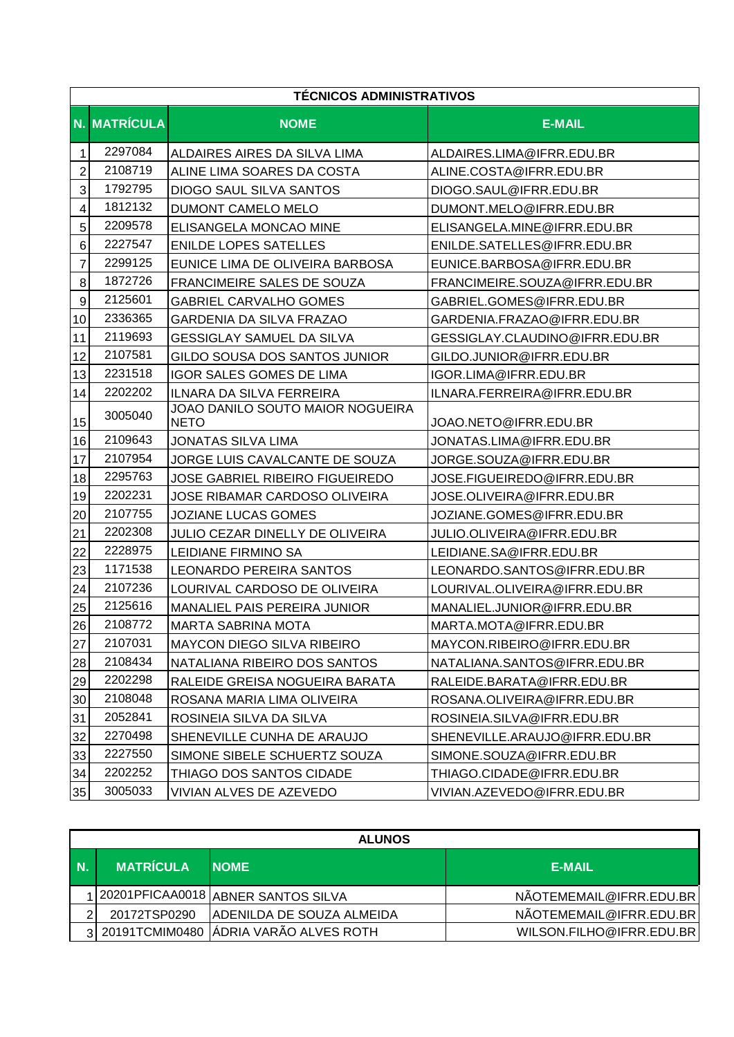|                  | <b>TÉCNICOS ADMINISTRATIVOS</b> |                                                 |                                |  |  |
|------------------|---------------------------------|-------------------------------------------------|--------------------------------|--|--|
|                  | <b>N. MATRÍCULA</b>             | <b>NOME</b>                                     | <b>E-MAIL</b>                  |  |  |
| 1                | 2297084                         | ALDAIRES AIRES DA SILVA LIMA                    | ALDAIRES.LIMA@IFRR.EDU.BR      |  |  |
| $\overline{2}$   | 2108719                         | ALINE LIMA SOARES DA COSTA                      | ALINE.COSTA@IFRR.EDU.BR        |  |  |
| 3                | 1792795                         | <b>DIOGO SAUL SILVA SANTOS</b>                  | DIOGO.SAUL@IFRR.EDU.BR         |  |  |
| 4                | 1812132                         | DUMONT CAMELO MELO                              | DUMONT.MELO@IFRR.EDU.BR        |  |  |
| 5                | 2209578                         | ELISANGELA MONCAO MINE                          | ELISANGELA.MINE@IFRR.EDU.BR    |  |  |
| 6                | 2227547                         | <b>ENILDE LOPES SATELLES</b>                    | ENILDE.SATELLES@IFRR.EDU.BR    |  |  |
| $\overline{7}$   | 2299125                         | EUNICE LIMA DE OLIVEIRA BARBOSA                 | EUNICE.BARBOSA@IFRR.EDU.BR     |  |  |
| 8                | 1872726                         | FRANCIMEIRE SALES DE SOUZA                      | FRANCIMEIRE.SOUZA@IFRR.EDU.BR  |  |  |
| $\boldsymbol{9}$ | 2125601                         | <b>GABRIEL CARVALHO GOMES</b>                   | GABRIEL.GOMES@IFRR.EDU.BR      |  |  |
| 10               | 2336365                         | GARDENIA DA SILVA FRAZAO                        | GARDENIA.FRAZAO@IFRR.EDU.BR    |  |  |
| 11               | 2119693                         | <b>GESSIGLAY SAMUEL DA SILVA</b>                | GESSIGLAY.CLAUDINO@IFRR.EDU.BR |  |  |
| 12               | 2107581                         | GILDO SOUSA DOS SANTOS JUNIOR                   | GILDO.JUNIOR@IFRR.EDU.BR       |  |  |
| 13               | 2231518                         | <b>IGOR SALES GOMES DE LIMA</b>                 | IGOR.LIMA@IFRR.EDU.BR          |  |  |
| 14               | 2202202                         | ILNARA DA SILVA FERREIRA                        | ILNARA.FERREIRA@IFRR.EDU.BR    |  |  |
| 15               | 3005040                         | JOAO DANILO SOUTO MAIOR NOGUEIRA<br><b>NETO</b> | JOAO.NETO@IFRR.EDU.BR          |  |  |
| 16               | 2109643                         | <b>JONATAS SILVA LIMA</b>                       | JONATAS.LIMA@IFRR.EDU.BR       |  |  |
| 17               | 2107954                         | JORGE LUIS CAVALCANTE DE SOUZA                  | JORGE.SOUZA@IFRR.EDU.BR        |  |  |
| 18               | 2295763                         | <b>JOSE GABRIEL RIBEIRO FIGUEIREDO</b>          | JOSE.FIGUEIREDO@IFRR.EDU.BR    |  |  |
| 19               | 2202231                         | JOSE RIBAMAR CARDOSO OLIVEIRA                   | JOSE.OLIVEIRA@IFRR.EDU.BR      |  |  |
| 20               | 2107755                         | <b>JOZIANE LUCAS GOMES</b>                      | JOZIANE.GOMES@IFRR.EDU.BR      |  |  |
| 21               | 2202308                         | JULIO CEZAR DINELLY DE OLIVEIRA                 | JULIO.OLIVEIRA@IFRR.EDU.BR     |  |  |
| 22               | 2228975                         | LEIDIANE FIRMINO SA                             | LEIDIANE.SA@IFRR.EDU.BR        |  |  |
| 23               | 1171538                         | LEONARDO PEREIRA SANTOS                         | LEONARDO.SANTOS@IFRR.EDU.BR    |  |  |
| 24               | 2107236                         | LOURIVAL CARDOSO DE OLIVEIRA                    | LOURIVAL.OLIVEIRA@IFRR.EDU.BR  |  |  |
| 25               | 2125616                         | MANALIEL PAIS PEREIRA JUNIOR                    | MANALIEL.JUNIOR@IFRR.EDU.BR    |  |  |
| 26               | 2108772                         | <b>MARTA SABRINA MOTA</b>                       | MARTA.MOTA@IFRR.EDU.BR         |  |  |
| 27               | 2107031                         | MAYCON DIEGO SILVA RIBEIRO                      | MAYCON.RIBEIRO@IFRR.EDU.BR     |  |  |
| 28               | 2108434                         | NATALIANA RIBEIRO DOS SANTOS                    | NATALIANA.SANTOS@IFRR.EDU.BR   |  |  |
| 29               | 2202298                         | RALEIDE GREISA NOGUEIRA BARATA                  | RALEIDE.BARATA@IFRR.EDU.BR     |  |  |
| 30               | 2108048                         | ROSANA MARIA LIMA OLIVEIRA                      | ROSANA.OLIVEIRA@IFRR.EDU.BR    |  |  |
| 31               | 2052841                         | ROSINEIA SILVA DA SILVA                         | ROSINEIA.SILVA@IFRR.EDU.BR     |  |  |
| 32               | 2270498                         | SHENEVILLE CUNHA DE ARAUJO                      | SHENEVILLE.ARAUJO@IFRR.EDU.BR  |  |  |
| 33               | 2227550                         | SIMONE SIBELE SCHUERTZ SOUZA                    | SIMONE.SOUZA@IFRR.EDU.BR       |  |  |
| 34               | 2202252                         | THIAGO DOS SANTOS CIDADE                        | THIAGO.CIDADE@IFRR.EDU.BR      |  |  |
| 35               | 3005033                         | VIVIAN ALVES DE AZEVEDO                         | VIVIAN.AZEVEDO@IFRR.EDU.BR     |  |  |

|      | <b>ALUNOS</b>    |                                         |                          |  |
|------|------------------|-----------------------------------------|--------------------------|--|
| . N. | <b>MATRÍCULA</b> | <b>NOME</b>                             | <b>E-MAIL</b>            |  |
|      |                  | 20201PFICAA0018 ABNER SANTOS SILVA      | NÃOTEMEMAIL@IFRR.EDU.BR  |  |
| റ    | 20172TSP0290     | ADENILDA DE SOUZA ALMEIDA               | NÃOTEMEMAIL@IFRR.EDU.BR  |  |
|      |                  | 3 20191TCMIM0480 ÁDRIA VARÃO ALVES ROTH | WILSON.FILHO@IFRR.EDU.BR |  |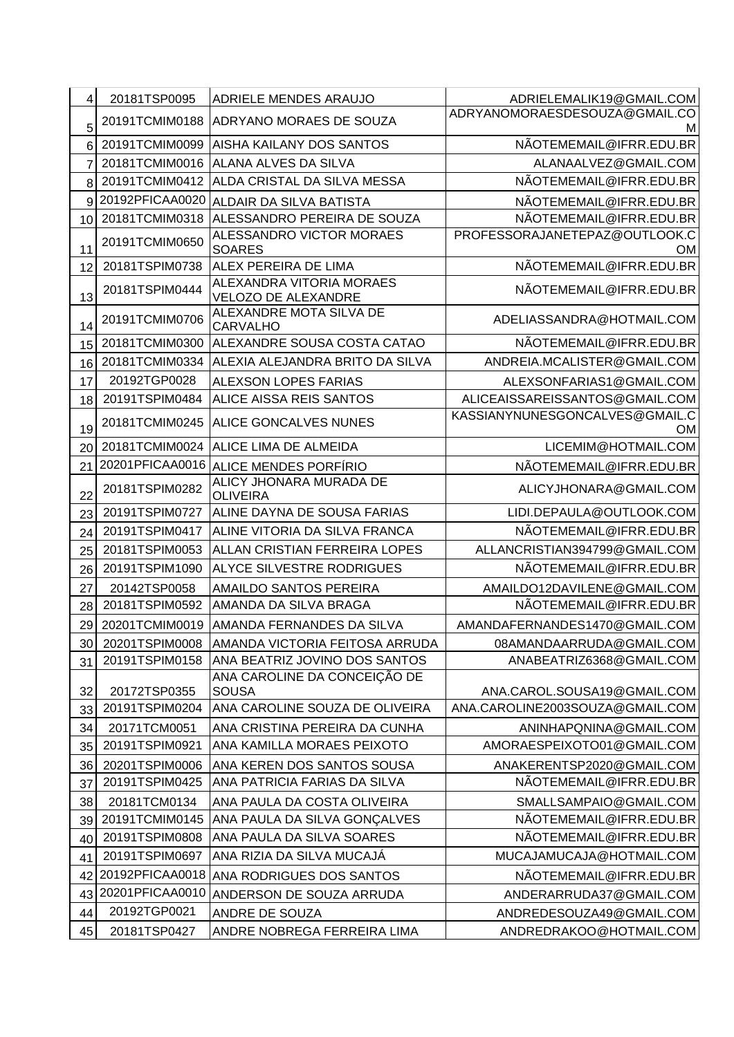| 4               | 20181TSP0095    | ADRIELE MENDES ARAUJO                           | ADRIELEMALIK19@GMAIL.COM                   |
|-----------------|-----------------|-------------------------------------------------|--------------------------------------------|
| 5               | 20191TCMIM0188  | ADRYANO MORAES DE SOUZA                         | ADRYANOMORAESDESOUZA@GMAIL.CO<br>м         |
| $6\phantom{1}6$ | 20191TCMIM0099  | <b>AISHA KAILANY DOS SANTOS</b>                 | NÃOTEMEMAIL@IFRR.EDU.BR                    |
| 7               | 20181TCMIM0016  | ALANA ALVES DA SILVA                            | ALANAALVEZ@GMAIL.COM                       |
| 8               | 20191TCMIM0412  | ALDA CRISTAL DA SILVA MESSA                     | NÃOTEMEMAIL@IFRR.EDU.BR                    |
| 9               | 20192PFICAA0020 | ALDAIR DA SILVA BATISTA                         | NÃOTEMEMAIL@IFRR.EDU.BR                    |
| 10              | 20181TCMIM0318  | ALESSANDRO PEREIRA DE SOUZA                     | NÃOTEMEMAIL@IFRR.EDU.BR                    |
| 11              | 20191TCMIM0650  | ALESSANDRO VICTOR MORAES<br><b>SOARES</b>       | PROFESSORAJANETEPAZ@OUTLOOK.C<br><b>OM</b> |
| 12              | 20181TSPIM0738  | ALEX PEREIRA DE LIMA                            | NÃOTEMEMAIL@IFRR.EDU.BR                    |
| 13              | 20181TSPIM0444  | ALEXANDRA VITORIA MORAES<br>VELOZO DE ALEXANDRE | NÃOTEMEMAIL@IFRR.EDU.BR                    |
| 14              | 20191TCMIM0706  | ALEXANDRE MOTA SILVA DE<br><b>CARVALHO</b>      | ADELIASSANDRA@HOTMAIL.COM                  |
| 15              | 20181TCMIM0300  | ALEXANDRE SOUSA COSTA CATAO                     | NÃOTEMEMAIL@IFRR.EDU.BR                    |
| 16              | 20181TCMIM0334  | ALEXIA ALEJANDRA BRITO DA SILVA                 | ANDREIA.MCALISTER@GMAIL.COM                |
| 17              | 20192TGP0028    | ALEXSON LOPES FARIAS                            | ALEXSONFARIAS1@GMAIL.COM                   |
| 18              | 20191TSPIM0484  | ALICE AISSA REIS SANTOS                         | ALICEAISSAREISSANTOS@GMAIL.COM             |
| 19              | 20181TCMIM0245  | ALICE GONCALVES NUNES                           | KASSIANYNUNESGONCALVES@GMAIL.C<br>OM.      |
| 20              | 20181TCMIM0024  | ALICE LIMA DE ALMEIDA                           | LICEMIM@HOTMAIL.COM                        |
| 21              | 20201PFICAA0016 | ALICE MENDES PORFÍRIO                           | NÃOTEMEMAIL@IFRR.EDU.BR                    |
| 22              | 20181TSPIM0282  | ALICY JHONARA MURADA DE<br><b>OLIVEIRA</b>      | ALICYJHONARA@GMAIL.COM                     |
| 23              | 20191TSPIM0727  | ALINE DAYNA DE SOUSA FARIAS                     | LIDI.DEPAULA@OUTLOOK.COM                   |
| 24              | 20191TSPIM0417  | ALINE VITORIA DA SILVA FRANCA                   | NÃOTEMEMAIL@IFRR.EDU.BR                    |
| 25              | 20181TSPIM0053  | ALLAN CRISTIAN FERREIRA LOPES                   | ALLANCRISTIAN394799@GMAIL.COM              |
| 26              | 20191TSPIM1090  | <b>ALYCE SILVESTRE RODRIGUES</b>                | NÃOTEMEMAIL@IFRR.EDU.BR                    |
| 27              | 20142TSP0058    | AMAILDO SANTOS PEREIRA                          | AMAILDO12DAVILENE@GMAIL.COM                |
| 28              | 20181TSPIM0592  | AMANDA DA SILVA BRAGA                           | NÃOTEMEMAIL@IFRR.EDU.BR                    |
| 29              | 20201TCMIM0019  | AMANDA FERNANDES DA SILVA                       | AMANDAFERNANDES1470@GMAIL.COM              |
| 30              | 20201TSPIM0008  | AMANDA VICTORIA FEITOSA ARRUDA                  | 08AMANDAARRUDA@GMAIL.COM                   |
| 31              | 20191TSPIM0158  | ANA BEATRIZ JOVINO DOS SANTOS                   | ANABEATRIZ6368@GMAIL.COM                   |
| 32              | 20172TSP0355    | ANA CAROLINE DA CONCEIÇÃO DE<br><b>SOUSA</b>    | ANA.CAROL.SOUSA19@GMAIL.COM                |
| 33              | 20191TSPIM0204  | ANA CAROLINE SOUZA DE OLIVEIRA                  | ANA.CAROLINE2003SOUZA@GMAIL.COM            |
| 34              | 20171TCM0051    | ANA CRISTINA PEREIRA DA CUNHA                   | ANINHAPQNINA@GMAIL.COM                     |
| 35              | 20191TSPIM0921  | ANA KAMILLA MORAES PEIXOTO                      | AMORAESPEIXOTO01@GMAIL.COM                 |
| 36              | 20201TSPIM0006  | ANA KEREN DOS SANTOS SOUSA                      | ANAKERENTSP2020@GMAIL.COM                  |
| 37              | 20191TSPIM0425  | ANA PATRICIA FARIAS DA SILVA                    | NÃOTEMEMAIL@IFRR.EDU.BR                    |
| 38              | 20181TCM0134    | ANA PAULA DA COSTA OLIVEIRA                     | SMALLSAMPAIO@GMAIL.COM                     |
| 39              | 20191TCMIM0145  | ANA PAULA DA SILVA GONÇALVES                    | NÃOTEMEMAIL@IFRR.EDU.BR                    |
| 40              | 20191TSPIM0808  | ANA PAULA DA SILVA SOARES                       | NÃOTEMEMAIL@IFRR.EDU.BR                    |
| 41              | 20191TSPIM0697  | ANA RIZIA DA SILVA MUCAJÁ                       | MUCAJAMUCAJA@HOTMAIL.COM                   |
| 42              | 20192PFICAA0018 | ANA RODRIGUES DOS SANTOS                        | NÃOTEMEMAIL@IFRR.EDU.BR                    |
| 43              | 20201PFICAA0010 | ANDERSON DE SOUZA ARRUDA                        | ANDERARRUDA37@GMAIL.COM                    |
| 44              | 20192TGP0021    | ANDRE DE SOUZA                                  | ANDREDESOUZA49@GMAIL.COM                   |
| 45              | 20181TSP0427    | ANDRE NOBREGA FERREIRA LIMA                     | ANDREDRAKOO@HOTMAIL.COM                    |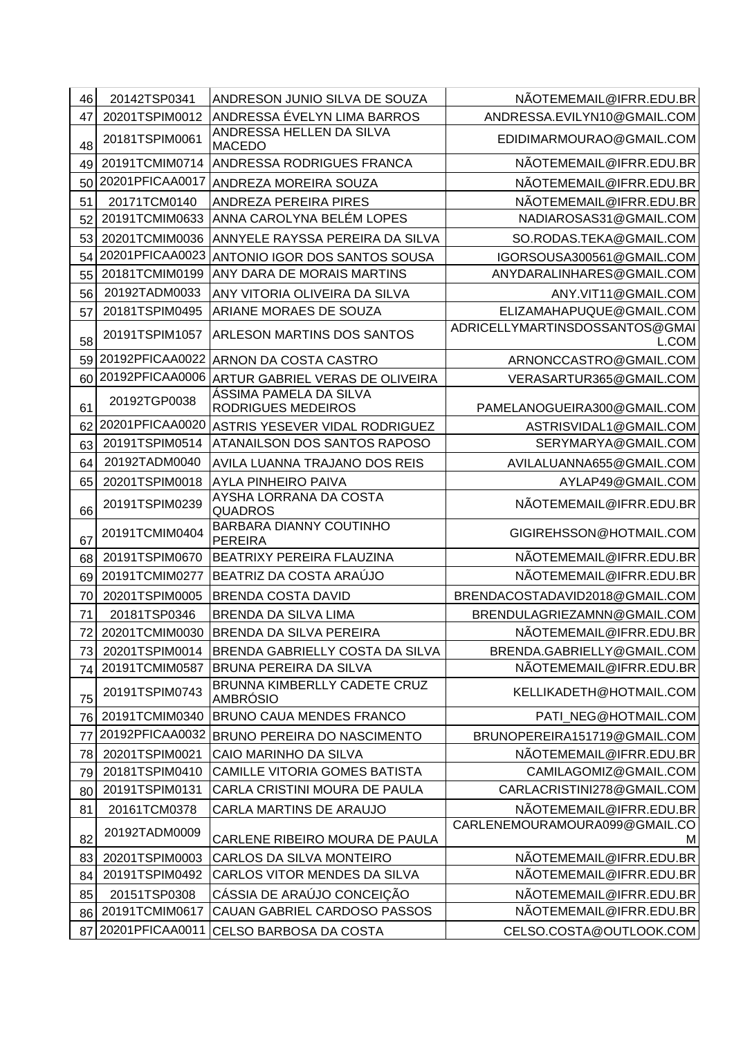| 46 | 20142TSP0341    | ANDRESON JUNIO SILVA DE SOUZA                              | NÃOTEMEMAIL@IFRR.EDU.BR                 |
|----|-----------------|------------------------------------------------------------|-----------------------------------------|
| 47 | 20201TSPIM0012  | ANDRESSA ÉVELYN LIMA BARROS                                | ANDRESSA.EVILYN10@GMAIL.COM             |
| 48 | 20181TSPIM0061  | ANDRESSA HELLEN DA SILVA<br><b>MACEDO</b>                  | EDIDIMARMOURAO@GMAIL.COM                |
| 49 | 20191TCMIM0714  | ANDRESSA RODRIGUES FRANCA                                  | NÃOTEMEMAIL@IFRR.EDU.BR                 |
| 50 | 20201PFICAA0017 | ANDREZA MOREIRA SOUZA                                      | NÃOTEMEMAIL@IFRR.EDU.BR                 |
| 51 | 20171TCM0140    | ANDREZA PEREIRA PIRES                                      | NÃOTEMEMAIL@IFRR.EDU.BR                 |
| 52 | 20191TCMIM0633  | ANNA CAROLYNA BELÉM LOPES                                  | NADIAROSAS31@GMAIL.COM                  |
| 53 | 20201TCMIM0036  | ANNYELE RAYSSA PEREIRA DA SILVA                            | SO.RODAS.TEKA@GMAIL.COM                 |
| 54 | 20201PFICAA0023 | ANTONIO IGOR DOS SANTOS SOUSA                              | IGORSOUSA300561@GMAIL.COM               |
| 55 | 20181TCMIM0199  | ANY DARA DE MORAIS MARTINS                                 | ANYDARALINHARES@GMAIL.COM               |
| 56 | 20192TADM0033   | ANY VITORIA OLIVEIRA DA SILVA                              | ANY.VIT11@GMAIL.COM                     |
| 57 | 20181TSPIM0495  | ARIANE MORAES DE SOUZA                                     | ELIZAMAHAPUQUE@GMAIL.COM                |
| 58 | 20191TSPIM1057  | ARLESON MARTINS DOS SANTOS                                 | ADRICELLYMARTINSDOSSANTOS@GMAI<br>L.COM |
| 59 | 20192PFICAA0022 | ARNON DA COSTA CASTRO                                      | ARNONCCASTRO@GMAIL.COM                  |
| 60 | 20192PFICAA0006 | <b>ARTUR GABRIEL VERAS DE OLIVEIRA</b>                     | VERASARTUR365@GMAIL.COM                 |
| 61 | 20192TGP0038    | <b>ASSIMA PAMELA DA SILVA</b><br><b>RODRIGUES MEDEIROS</b> | PAMELANOGUEIRA300@GMAIL.COM             |
| 62 | 20201PFICAA0020 | ASTRIS YESEVER VIDAL RODRIGUEZ                             | ASTRISVIDAL1@GMAIL.COM                  |
| 63 | 20191TSPIM0514  | ATANAILSON DOS SANTOS RAPOSO                               | SERYMARYA@GMAIL.COM                     |
| 64 | 20192TADM0040   | AVILA LUANNA TRAJANO DOS REIS                              | AVILALUANNA655@GMAIL.COM                |
| 65 | 20201TSPIM0018  | <b>AYLA PINHEIRO PAIVA</b>                                 | AYLAP49@GMAIL.COM                       |
| 66 | 20191TSPIM0239  | AYSHA LORRANA DA COSTA<br><b>QUADROS</b>                   | NÃOTEMEMAIL@IFRR.EDU.BR                 |
| 67 | 20191TCMIM0404  | BARBARA DIANNY COUTINHO<br><b>PEREIRA</b>                  | GIGIREHSSON@HOTMAIL.COM                 |
| 68 | 20191TSPIM0670  | BEATRIXY PEREIRA FLAUZINA                                  | NÃOTEMEMAIL@IFRR.EDU.BR                 |
| 69 | 20191TCMIM0277  | BEATRIZ DA COSTA ARAÚJO                                    | NÃOTEMEMAIL@IFRR.EDU.BR                 |
| 70 | 20201TSPIM0005  | <b>BRENDA COSTA DAVID</b>                                  | BRENDACOSTADAVID2018@GMAIL.COM          |
| 71 | 20181TSP0346    | BRENDA DA SILVA LIMA                                       | BRENDULAGRIEZAMNN@GMAIL.COM             |
| 72 | 20201TCMIM0030  | BRENDA DA SILVA PEREIRA                                    | NÃOTEMEMAIL@IFRR.EDU.BR                 |
| 73 | 20201TSPIM0014  | BRENDA GABRIELLY COSTA DA SILVA                            | BRENDA.GABRIELLY@GMAIL.COM              |
| 74 | 20191TCMIM0587  | <b>BRUNA PEREIRA DA SILVA</b>                              | NÃOTEMEMAIL@IFRR.EDU.BR                 |
| 75 | 20191TSPIM0743  | BRUNNA KIMBERLLY CADETE CRUZ<br><b>AMBRÓSIO</b>            | KELLIKADETH@HOTMAIL.COM                 |
| 76 | 20191TCMIM0340  | <b>BRUNO CAUA MENDES FRANCO</b>                            | PATI_NEG@HOTMAIL.COM                    |
| 77 | 20192PFICAA0032 | BRUNO PEREIRA DO NASCIMENTO                                | BRUNOPEREIRA151719@GMAIL.COM            |
| 78 | 20201TSPIM0021  | CAIO MARINHO DA SILVA                                      | NÃOTEMEMAIL@IFRR.EDU.BR                 |
| 79 | 20181TSPIM0410  | <b>CAMILLE VITORIA GOMES BATISTA</b>                       | CAMILAGOMIZ@GMAIL.COM                   |
| 80 | 20191TSPIM0131  | CARLA CRISTINI MOURA DE PAULA                              | CARLACRISTINI278@GMAIL.COM              |
| 81 | 20161TCM0378    | CARLA MARTINS DE ARAUJO                                    | NÃOTEMEMAIL@IFRR.EDU.BR                 |
| 82 | 20192TADM0009   | CARLENE RIBEIRO MOURA DE PAULA                             | CARLENEMOURAMOURA099@GMAIL.CO<br>M      |
| 83 | 20201TSPIM0003  | CARLOS DA SILVA MONTEIRO                                   | NÃOTEMEMAIL@IFRR.EDU.BR                 |
| 84 | 20191TSPIM0492  | CARLOS VITOR MENDES DA SILVA                               | NÃOTEMEMAIL@IFRR.EDU.BR                 |
| 85 | 20151TSP0308    | CÁSSIA DE ARAÚJO CONCEIÇÃO                                 | NÃOTEMEMAIL@IFRR.EDU.BR                 |
| 86 | 20191TCMIM0617  | CAUAN GABRIEL CARDOSO PASSOS                               | NÃOTEMEMAIL@IFRR.EDU.BR                 |
| 87 | 20201PFICAA0011 | CELSO BARBOSA DA COSTA                                     | CELSO.COSTA@OUTLOOK.COM                 |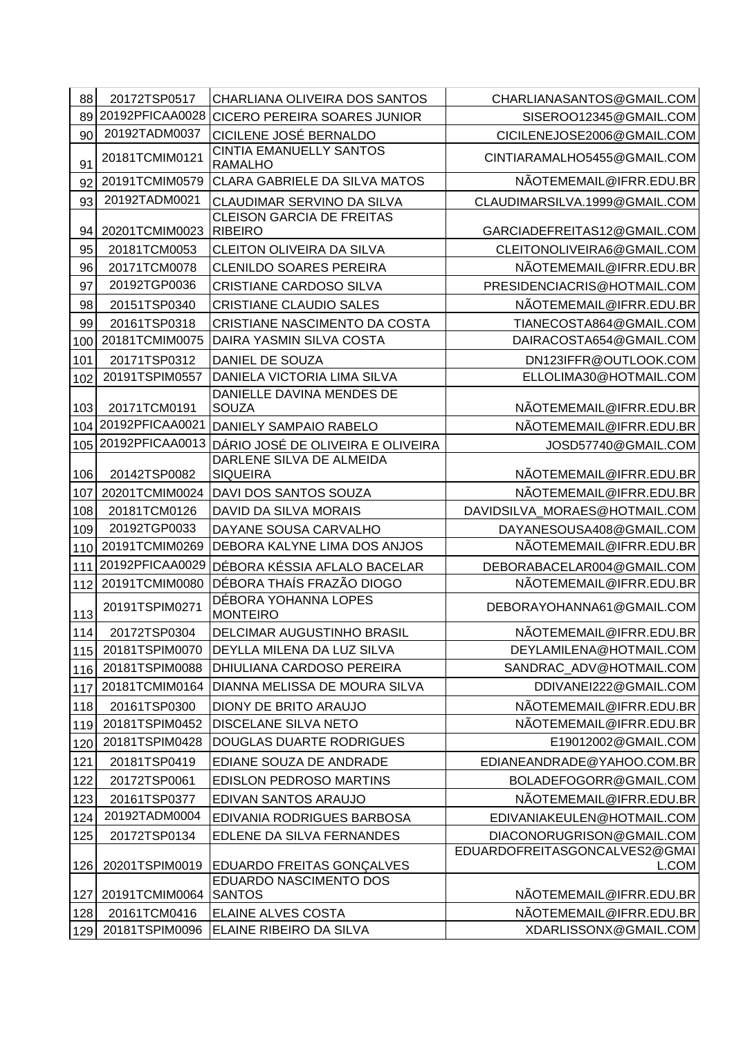| 88  | 20172TSP0517        | CHARLIANA OLIVEIRA DOS SANTOS                      | CHARLIANASANTOS@GMAIL.COM              |
|-----|---------------------|----------------------------------------------------|----------------------------------------|
|     | 89 20192 PFICAA0028 | CICERO PEREIRA SOARES JUNIOR                       | SISEROO12345@GMAIL.COM                 |
| 90  | 20192TADM0037       | CICILENE JOSÉ BERNALDO                             | CICILENEJOSE2006@GMAIL.COM             |
| 91  | 20181TCMIM0121      | <b>CINTIA EMANUELLY SANTOS</b><br><b>RAMALHO</b>   | CINTIARAMALHO5455@GMAIL.COM            |
| 92  | 20191TCMIM0579      | CLARA GABRIELE DA SILVA MATOS                      | NÃOTEMEMAIL@IFRR.EDU.BR                |
| 93  | 20192TADM0021       | CLAUDIMAR SERVINO DA SILVA                         | CLAUDIMARSILVA.1999@GMAIL.COM          |
| 94  | 20201TCMIM0023      | <b>CLEISON GARCIA DE FREITAS</b><br><b>RIBEIRO</b> | GARCIADEFREITAS12@GMAIL.COM            |
| 95  | 20181TCM0053        | <b>CLEITON OLIVEIRA DA SILVA</b>                   | CLEITONOLIVEIRA6@GMAIL.COM             |
| 96  | 20171TCM0078        | <b>CLENILDO SOARES PEREIRA</b>                     | NÃOTEMEMAIL@IFRR.EDU.BR                |
| 97  | 20192TGP0036        | CRISTIANE CARDOSO SILVA                            | PRESIDENCIACRIS@HOTMAIL.COM            |
| 98  | 20151TSP0340        | <b>CRISTIANE CLAUDIO SALES</b>                     | NÃOTEMEMAIL@IFRR.EDU.BR                |
| 99  | 20161TSP0318        | CRISTIANE NASCIMENTO DA COSTA                      | TIANECOSTA864@GMAIL.COM                |
| 100 | 20181TCMIM0075      | DAIRA YASMIN SILVA COSTA                           | DAIRACOSTA654@GMAIL.COM                |
| 101 | 20171TSP0312        | DANIEL DE SOUZA                                    | DN123IFFR@OUTLOOK.COM                  |
| 102 | 20191TSPIM0557      | DANIELA VICTORIA LIMA SILVA                        | ELLOLIMA30@HOTMAIL.COM                 |
| 103 | 20171TCM0191        | DANIELLE DAVINA MENDES DE<br>SOUZA                 | NÃOTEMEMAIL@IFRR.EDU.BR                |
|     | 104 20192PFICAA0021 | DANIELY SAMPAIO RABELO                             | NÃOTEMEMAIL@IFRR.EDU.BR                |
|     | 105 20192PFICAA0013 | DÁRIO JOSÉ DE OLIVEIRA E OLIVEIRA                  | JOSD57740@GMAIL.COM                    |
| 106 | 20142TSP0082        | DARLENE SILVA DE ALMEIDA<br><b>SIQUEIRA</b>        | NÃOTEMEMAIL@IFRR.EDU.BR                |
| 107 | 20201TCMIM0024      | DAVI DOS SANTOS SOUZA                              | NÃOTEMEMAIL@IFRR.EDU.BR                |
| 108 | 20181TCM0126        | DAVID DA SILVA MORAIS                              | DAVIDSILVA_MORAES@HOTMAIL.COM          |
| 109 | 20192TGP0033        | DAYANE SOUSA CARVALHO                              | DAYANESOUSA408@GMAIL.COM               |
| 110 | 20191TCMIM0269      | DEBORA KALYNE LIMA DOS ANJOS                       | NÃOTEMEMAIL@IFRR.EDU.BR                |
| 111 | 20192PFICAA0029     | DÉBORA KÉSSIA AFLALO BACELAR                       | DEBORABACELAR004@GMAIL.COM             |
| 112 | 20191TCMIM0080      | DÉBORA THAÍS FRAZÃO DIOGO                          | NÃOTEMEMAIL@IFRR.EDU.BR                |
| 113 | 20191TSPIM0271      | DÉBORA YOHANNA LOPES<br><b>MONTEIRO</b>            | DEBORAYOHANNA61@GMAIL.COM              |
| 114 | 20172TSP0304        | DELCIMAR AUGUSTINHO BRASIL                         | NÃOTEMEMAIL@IFRR.EDU.BR                |
| 115 | 20181TSPIM0070      | DEYLLA MILENA DA LUZ SILVA                         | DEYLAMILENA@HOTMAIL.COM                |
| 116 | 20181TSPIM0088      | DHIULIANA CARDOSO PEREIRA                          | SANDRAC_ADV@HOTMAIL.COM                |
| 117 | 20181TCMIM0164      | DIANNA MELISSA DE MOURA SILVA                      | DDIVANEI222@GMAIL.COM                  |
| 118 | 20161TSP0300        | DIONY DE BRITO ARAUJO                              | NÃOTEMEMAIL@IFRR.EDU.BR                |
| 119 | 20181TSPIM0452      | DISCELANE SILVA NETO                               | NÃOTEMEMAIL@IFRR.EDU.BR                |
| 120 | 20181TSPIM0428      | DOUGLAS DUARTE RODRIGUES                           | E19012002@GMAIL.COM                    |
| 121 | 20181TSP0419        | EDIANE SOUZA DE ANDRADE                            | EDIANEANDRADE@YAHOO.COM.BR             |
| 122 | 20172TSP0061        | <b>EDISLON PEDROSO MARTINS</b>                     | BOLADEFOGORR@GMAIL.COM                 |
| 123 | 20161TSP0377        | EDIVAN SANTOS ARAUJO                               | NÃOTEMEMAIL@IFRR.EDU.BR                |
| 124 | 20192TADM0004       | EDIVANIA RODRIGUES BARBOSA                         | EDIVANIAKEULEN@HOTMAIL.COM             |
| 125 | 20172TSP0134        | EDLENE DA SILVA FERNANDES                          | DIACONORUGRISON@GMAIL.COM              |
| 126 | 20201TSPIM0019      | EDUARDO FREITAS GONÇALVES                          | EDUARDOFREITASGONCALVES2@GMAI<br>L.COM |
|     |                     | EDUARDO NASCIMENTO DOS                             |                                        |
| 127 | 20191TCMIM0064      | <b>SANTOS</b>                                      | NÃOTEMEMAIL@IFRR.EDU.BR                |
| 128 | 20161TCM0416        | <b>ELAINE ALVES COSTA</b>                          | NÃOTEMEMAIL@IFRR.EDU.BR                |
| 129 | 20181TSPIM0096      | ELAINE RIBEIRO DA SILVA                            | XDARLISSONX@GMAIL.COM                  |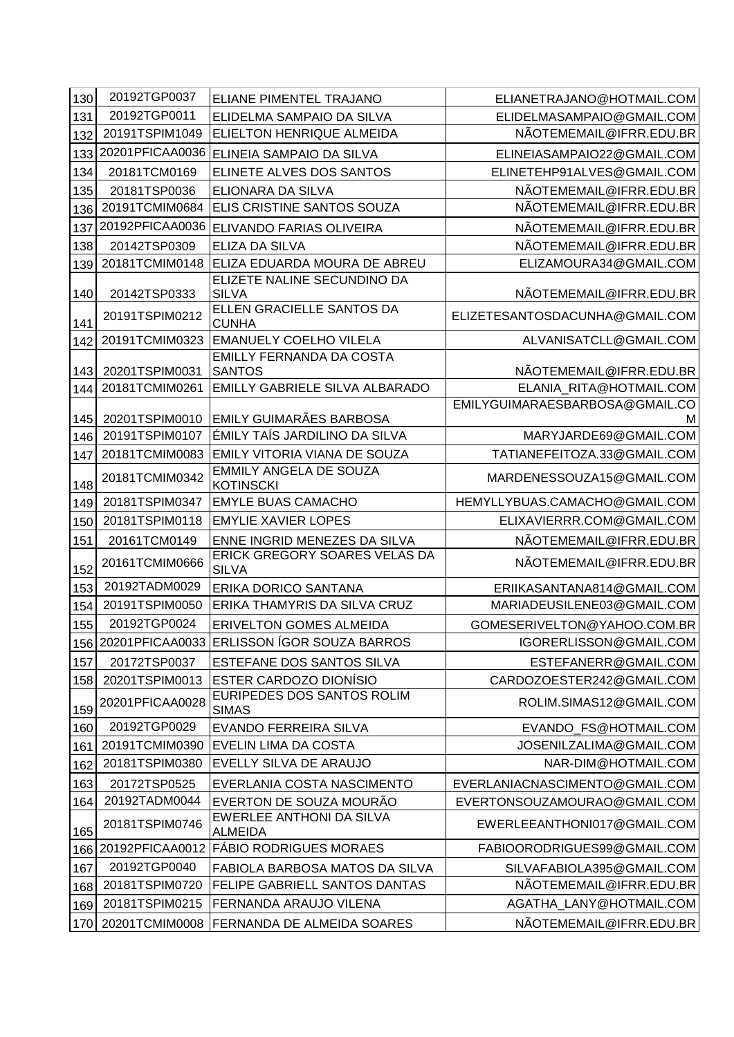| 130 | 20192TGP0037         | ELIANE PIMENTEL TRAJANO                          | ELIANETRAJANO@HOTMAIL.COM           |
|-----|----------------------|--------------------------------------------------|-------------------------------------|
| 131 | 20192TGP0011         | ELIDELMA SAMPAIO DA SILVA                        | ELIDELMASAMPAIO@GMAIL.COM           |
| 132 | 20191TSPIM1049       | ELIELTON HENRIQUE ALMEIDA                        | NÃOTEMEMAIL@IFRR.EDU.BR             |
| 133 | 20201PFICAA0036      | ELINEIA SAMPAIO DA SILVA                         | ELINEIASAMPAIO22@GMAIL.COM          |
| 134 | 20181TCM0169         | ELINETE ALVES DOS SANTOS                         | ELINETEHP91ALVES@GMAIL.COM          |
| 135 | 20181TSP0036         | ELIONARA DA SILVA                                | NÃOTEMEMAIL@IFRR.EDU.BR             |
| 136 | 20191TCMIM0684       | ELIS CRISTINE SANTOS SOUZA                       | NÃOTEMEMAIL@IFRR.EDU.BR             |
| 137 | 20192PFICAA0036      | ELIVANDO FARIAS OLIVEIRA                         | NÃOTEMEMAIL@IFRR.EDU.BR             |
| 138 | 20142TSP0309         | ELIZA DA SILVA                                   | NÃOTEMEMAIL@IFRR.EDU.BR             |
| 139 | 20181TCMIM0148       | ELIZA EDUARDA MOURA DE ABREU                     | ELIZAMOURA34@GMAIL.COM              |
| 140 | 20142TSP0333         | ELIZETE NALINE SECUNDINO DA<br><b>SILVA</b>      | NÃOTEMEMAIL@IFRR.EDU.BR             |
| 141 | 20191TSPIM0212       | ELLEN GRACIELLE SANTOS DA<br><b>CUNHA</b>        | ELIZETESANTOSDACUNHA@GMAIL.COM      |
| 142 | 20191TCMIM0323       | <b>EMANUELY COELHO VILELA</b>                    | ALVANISATCLL@GMAIL.COM              |
| 143 | 20201TSPIM0031       | <b>EMILLY FERNANDA DA COSTA</b><br><b>SANTOS</b> | NÃOTEMEMAIL@IFRR.EDU.BR             |
| 144 | 20181TCMIM0261       | EMILLY GABRIELE SILVA ALBARADO                   | ELANIA RITA@HOTMAIL.COM             |
| 145 | 20201TSPIM0010       | <b>EMILY GUIMARÃES BARBOSA</b>                   | EMILYGUIMARAESBARBOSA@GMAIL.CO<br>м |
| 146 | 20191TSPIM0107       | ÉMILY TAÍS JARDILINO DA SILVA                    | MARYJARDE69@GMAIL.COM               |
| 147 | 20181TCMIM0083       | EMILY VITORIA VIANA DE SOUZA                     | TATIANEFEITOZA.33@GMAIL.COM         |
| 148 | 20181TCMIM0342       | EMMILY ANGELA DE SOUZA<br><b>KOTINSCKI</b>       | MARDENESSOUZA15@GMAIL.COM           |
| 149 | 20181TSPIM0347       | <b>EMYLE BUAS CAMACHO</b>                        | HEMYLLYBUAS.CAMACHO@GMAIL.COM       |
| 150 | 20181TSPIM0118       | <b>EMYLIE XAVIER LOPES</b>                       | ELIXAVIERRR.COM@GMAIL.COM           |
| 151 | 20161TCM0149         | ENNE INGRID MENEZES DA SILVA                     | NÃOTEMEMAIL@IFRR.EDU.BR             |
| 152 | 20161TCMIM0666       | ERICK GREGORY SOARES VELAS DA<br><b>SILVA</b>    | NÃOTEMEMAIL@IFRR.EDU.BR             |
| 153 | 20192TADM0029        | ERIKA DORICO SANTANA                             | ERIIKASANTANA814@GMAIL.COM          |
| 154 | 20191TSPIM0050       | ERIKA THAMYRIS DA SILVA CRUZ                     | MARIADEUSILENE03@GMAIL.COM          |
| 155 | 20192TGP0024         | ERIVELTON GOMES ALMEIDA                          | GOMESERIVELTON@YAHOO.COM.BR         |
|     | 156 20201 PFICAA0033 | <b>ERLISSON ÍGOR SOUZA BARROS</b>                | IGORERLISSON@GMAIL.COM              |
| 157 | 20172TSP0037         | ESTEFANE DOS SANTOS SILVA                        | ESTEFANERR@GMAIL.COM                |
| 158 | 20201TSPIM0013       | <b>ESTER CARDOZO DIONÍSIO</b>                    | CARDOZOESTER242@GMAIL.COM           |
| 159 | 20201PFICAA0028      | EURIPEDES DOS SANTOS ROLIM<br><b>SIMAS</b>       | ROLIM.SIMAS12@GMAIL.COM             |
| 160 | 20192TGP0029         | EVANDO FERREIRA SILVA                            | EVANDO FS@HOTMAIL.COM               |
| 161 | 20191TCMIM0390       | EVELIN LIMA DA COSTA                             | JOSENILZALIMA@GMAIL.COM             |
| 162 | 20181TSPIM0380       | EVELLY SILVA DE ARAUJO                           | NAR-DIM@HOTMAIL.COM                 |
| 163 | 20172TSP0525         | EVERLANIA COSTA NASCIMENTO                       | EVERLANIACNASCIMENTO@GMAIL.COM      |
| 164 | 20192TADM0044        | EVERTON DE SOUZA MOURÃO                          | EVERTONSOUZAMOURAO@GMAIL.COM        |
| 165 | 20181TSPIM0746       | EWERLEE ANTHONI DA SILVA<br><b>ALMEIDA</b>       | EWERLEEANTHONI017@GMAIL.COM         |
| 166 | 20192PFICAA0012      | <b>FÁBIO RODRIGUES MORAES</b>                    | FABIOORODRIGUES99@GMAIL.COM         |
| 167 | 20192TGP0040         | FABIOLA BARBOSA MATOS DA SILVA                   | SILVAFABIOLA395@GMAIL.COM           |
| 168 | 20181TSPIM0720       | FELIPE GABRIELL SANTOS DANTAS                    | NÃOTEMEMAIL@IFRR.EDU.BR             |
| 169 | 20181TSPIM0215       | FERNANDA ARAUJO VILENA                           | AGATHA_LANY@HOTMAIL.COM             |
| 170 | 20201TCMIM0008       | FERNANDA DE ALMEIDA SOARES                       | NÃOTEMEMAIL@IFRR.EDU.BR             |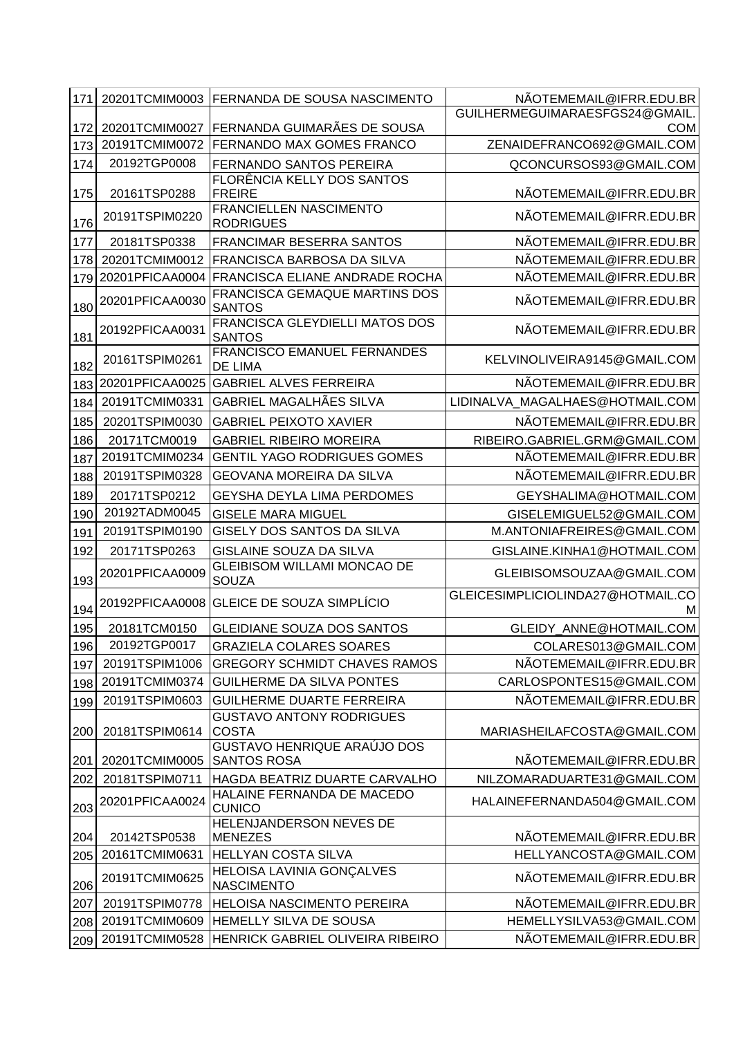| 171 | 20201TCMIM0003  | <b>FERNANDA DE SOUSA NASCIMENTO</b>                         | NÃOTEMEMAIL@IFRR.EDU.BR                |
|-----|-----------------|-------------------------------------------------------------|----------------------------------------|
|     |                 |                                                             | GUILHERMEGUIMARAESFGS24@GMAIL.         |
| 172 | 20201TCMIM0027  | FERNANDA GUIMARÃES DE SOUSA                                 | <b>COM</b>                             |
| 173 | 20191TCMIM0072  | FERNANDO MAX GOMES FRANCO                                   | ZENAIDEFRANCO692@GMAIL.COM             |
| 174 | 20192TGP0008    | FERNANDO SANTOS PEREIRA                                     | QCONCURSOS93@GMAIL.COM                 |
| 175 | 20161TSP0288    | FLORÊNCIA KELLY DOS SANTOS<br><b>FREIRE</b>                 | NÃOTEMEMAIL@IFRR.EDU.BR                |
| 176 | 20191TSPIM0220  | FRANCIELLEN NASCIMENTO<br><b>RODRIGUES</b>                  | NÃOTEMEMAIL@IFRR.EDU.BR                |
| 177 | 20181TSP0338    | FRANCIMAR BESERRA SANTOS                                    | NÃOTEMEMAIL@IFRR.EDU.BR                |
| 178 | 20201TCMIM0012  | FRANCISCA BARBOSA DA SILVA                                  | NÃOTEMEMAIL@IFRR.EDU.BR                |
| 179 | 20201PFICAA0004 | <b>FRANCISCA ELIANE ANDRADE ROCHA</b>                       | NÃOTEMEMAIL@IFRR.EDU.BR                |
| 180 | 20201PFICAA0030 | FRANCISCA GEMAQUE MARTINS DOS<br><b>SANTOS</b>              | NÃOTEMEMAIL@IFRR.EDU.BR                |
| 181 | 20192PFICAA0031 | <b>FRANCISCA GLEYDIELLI MATOS DOS</b><br><b>SANTOS</b>      | NÃOTEMEMAIL@IFRR.EDU.BR                |
| 182 | 20161TSPIM0261  | <b>FRANCISCO EMANUEL FERNANDES</b><br>DE LIMA               | KELVINOLIVEIRA9145@GMAIL.COM           |
| 183 | 20201PFICAA0025 | <b>GABRIEL ALVES FERREIRA</b>                               | NÃOTEMEMAIL@IFRR.EDU.BR                |
| 184 | 20191TCMIM0331  | <b>GABRIEL MAGALHÃES SILVA</b>                              | LIDINALVA_MAGALHAES@HOTMAIL.COM        |
| 185 | 20201TSPIM0030  | <b>GABRIEL PEIXOTO XAVIER</b>                               | NÃOTEMEMAIL@IFRR.EDU.BR                |
| 186 | 20171TCM0019    | <b>GABRIEL RIBEIRO MOREIRA</b>                              | RIBEIRO.GABRIEL.GRM@GMAIL.COM          |
| 187 | 20191TCMIM0234  | <b>GENTIL YAGO RODRIGUES GOMES</b>                          | NÃOTEMEMAIL@IFRR.EDU.BR                |
| 188 | 20191TSPIM0328  | <b>GEOVANA MOREIRA DA SILVA</b>                             | NÃOTEMEMAIL@IFRR.EDU.BR                |
| 189 | 20171TSP0212    | <b>GEYSHA DEYLA LIMA PERDOMES</b>                           | GEYSHALIMA@HOTMAIL.COM                 |
| 190 | 20192TADM0045   | <b>GISELE MARA MIGUEL</b>                                   | GISELEMIGUEL52@GMAIL.COM               |
| 191 | 20191TSPIM0190  | GISELY DOS SANTOS DA SILVA                                  | M.ANTONIAFREIRES@GMAIL.COM             |
| 192 | 20171TSP0263    | GISLAINE SOUZA DA SILVA                                     | GISLAINE.KINHA1@HOTMAIL.COM            |
| 193 | 20201PFICAA0009 | <b>GLEIBISOM WILLAMI MONCAO DE</b><br><b>SOUZA</b>          | GLEIBISOMSOUZAA@GMAIL.COM              |
| 194 | 20192PFICAA0008 | <b>GLEICE DE SOUZA SIMPLÍCIO</b>                            | GLEICESIMPLICIOLINDA27@HOTMAIL.CO<br>M |
| 195 | 20181TCM0150    | <b>GLEIDIANE SOUZA DOS SANTOS</b>                           | GLEIDY_ANNE@HOTMAIL.COM                |
| 196 | 20192TGP0017    | <b>GRAZIELA COLARES SOARES</b>                              | COLARES013@GMAIL.COM                   |
| 197 | 20191TSPIM1006  | <b>GREGORY SCHMIDT CHAVES RAMOS</b>                         | NÃOTEMEMAIL@IFRR.EDU.BR                |
| 198 | 20191TCMIM0374  | <b>GUILHERME DA SILVA PONTES</b>                            | CARLOSPONTES15@GMAIL.COM               |
| 199 | 20191TSPIM0603  | <b>GUILHERME DUARTE FERREIRA</b>                            | NÃOTEMEMAIL@IFRR.EDU.BR                |
| 200 | 20181TSPIM0614  | <b>GUSTAVO ANTONY RODRIGUES</b><br><b>COSTA</b>             | MARIASHEILAFCOSTA@GMAIL.COM            |
|     |                 | GUSTAVO HENRIQUE ARAÚJO DOS                                 |                                        |
| 201 | 20201TCMIM0005  | <b>SANTOS ROSA</b>                                          | NÃOTEMEMAIL@IFRR.EDU.BR                |
| 202 | 20181TSPIM0711  | HAGDA BEATRIZ DUARTE CARVALHO<br>HALAINE FERNANDA DE MACEDO | NILZOMARADUARTE31@GMAIL.COM            |
| 203 | 20201PFICAA0024 | <b>CUNICO</b><br>HELENJANDERSON NEVES DE                    | HALAINEFERNANDA504@GMAIL.COM           |
| 204 | 20142TSP0538    | <b>MENEZES</b>                                              | NÃOTEMEMAIL@IFRR.EDU.BR                |
| 205 | 20161TCMIM0631  | <b>HELLYAN COSTA SILVA</b>                                  | HELLYANCOSTA@GMAIL.COM                 |
| 206 | 20191TCMIM0625  | <b>HELOISA LAVINIA GONÇALVES</b><br><b>NASCIMENTO</b>       | NÃOTEMEMAIL@IFRR.EDU.BR                |
| 207 | 20191TSPIM0778  | <b>HELOISA NASCIMENTO PEREIRA</b>                           | NÃOTEMEMAIL@IFRR.EDU.BR                |
| 208 | 20191TCMIM0609  | HEMELLY SILVA DE SOUSA                                      | HEMELLYSILVA53@GMAIL.COM               |
| 209 | 20191TCMIM0528  | <b>HENRICK GABRIEL OLIVEIRA RIBEIRO</b>                     | NÃOTEMEMAIL@IFRR.EDU.BR                |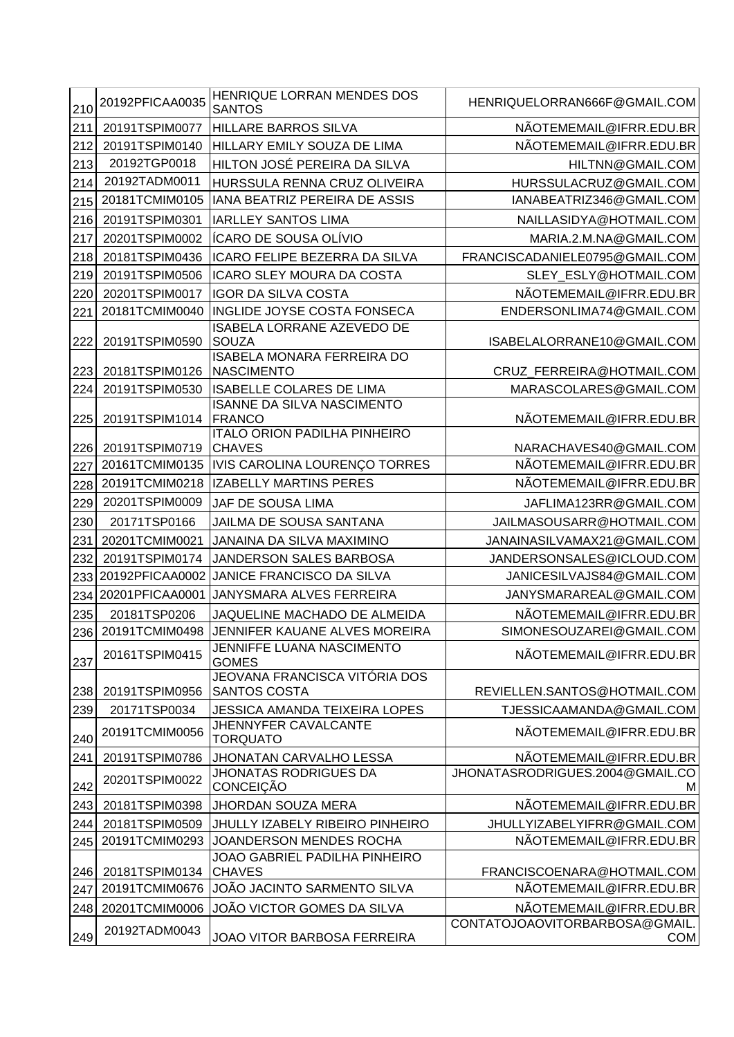| 210 | 20192PFICAA0035    | <b>HENRIQUE LORRAN MENDES DOS</b><br><b>SANTOS</b> | HENRIQUELORRAN666F@GMAIL.COM                 |
|-----|--------------------|----------------------------------------------------|----------------------------------------------|
| 211 | 20191TSPIM0077     | HILLARE BARROS SILVA                               | NÃOTEMEMAIL@IFRR.EDU.BR                      |
| 212 | 20191TSPIM0140     | HILLARY EMILY SOUZA DE LIMA                        | NÃOTEMEMAIL@IFRR.EDU.BR                      |
| 213 | 20192TGP0018       | HILTON JOSÉ PEREIRA DA SILVA                       | HILTNN@GMAIL.COM                             |
| 214 | 20192TADM0011      | HURSSULA RENNA CRUZ OLIVEIRA                       | HURSSULACRUZ@GMAIL.COM                       |
| 215 | 20181TCMIM0105     | IANA BEATRIZ PEREIRA DE ASSIS                      | IANABEATRIZ346@GMAIL.COM                     |
| 216 | 20191TSPIM0301     | <b>IARLLEY SANTOS LIMA</b>                         | NAILLASIDYA@HOTMAIL.COM                      |
| 217 | 20201TSPIM0002     | ÍCARO DE SOUSA OLÍVIO                              | MARIA.2.M.NA@GMAIL.COM                       |
| 218 | 20181TSPIM0436     | ICARO FELIPE BEZERRA DA SILVA                      | FRANCISCADANIELE0795@GMAIL.COM               |
| 219 | 20191TSPIM0506     | ICARO SLEY MOURA DA COSTA                          | SLEY ESLY@HOTMAIL.COM                        |
| 220 | 20201TSPIM0017     | <b>IGOR DA SILVA COSTA</b>                         | NÃOTEMEMAIL@IFRR.EDU.BR                      |
| 221 | 20181TCMIM0040     | <b>INGLIDE JOYSE COSTA FONSECA</b>                 | ENDERSONLIMA74@GMAIL.COM                     |
|     |                    | ISABELA LORRANE AZEVEDO DE                         |                                              |
| 222 | 20191TSPIM0590     | <b>SOUZA</b><br>ISABELA MONARA FERREIRA DO         | ISABELALORRANE10@GMAIL.COM                   |
| 223 | 20181TSPIM0126     | <b>NASCIMENTO</b>                                  | CRUZ_FERREIRA@HOTMAIL.COM                    |
| 224 | 20191TSPIM0530     | ISABELLE COLARES DE LIMA                           | MARASCOLARES@GMAIL.COM                       |
| 225 | 20191TSPIM1014     | <b>ISANNE DA SILVA NASCIMENTO</b><br><b>FRANCO</b> | NÃOTEMEMAIL@IFRR.EDU.BR                      |
|     |                    | <b>ITALO ORION PADILHA PINHEIRO</b>                |                                              |
| 226 | 20191TSPIM0719     | <b>CHAVES</b>                                      | NARACHAVES40@GMAIL.COM                       |
| 227 | 20161TCMIM0135     | IVIS CAROLINA LOURENÇO TORRES                      | NÃOTEMEMAIL@IFRR.EDU.BR                      |
| 228 | 20191TCMIM0218     | <b>IZABELLY MARTINS PERES</b>                      | NÃOTEMEMAIL@IFRR.EDU.BR                      |
| 229 | 20201TSPIM0009     | JAF DE SOUSA LIMA                                  | JAFLIMA123RR@GMAIL.COM                       |
| 230 | 20171TSP0166       | JAILMA DE SOUSA SANTANA                            | JAILMASOUSARR@HOTMAIL.COM                    |
| 231 | 20201TCMIM0021     | <b>JANAINA DA SILVA MAXIMINO</b>                   | JANAINASILVAMAX21@GMAIL.COM                  |
| 232 | 20191TSPIM0174     | JANDERSON SALES BARBOSA                            | JANDERSONSALES@ICLOUD.COM                    |
| 233 | 20192PFICAA0002    | <b>JANICE FRANCISCO DA SILVA</b>                   | JANICESILVAJS84@GMAIL.COM                    |
| 234 | 20201PFICAA0001    | JANYSMARA ALVES FERREIRA                           | JANYSMARAREAL@GMAIL.COM                      |
| 235 | 20181TSP0206       | JAQUELINE MACHADO DE ALMEIDA                       | NÃOTEMEMAIL@IFRR.EDU.BR                      |
|     | 236 20191TCMIM0498 | JENNIFER KAUANE ALVES MOREIRA                      | SIMONESOUZAREI@GMAIL.COM                     |
| 237 | 20161TSPIM0415     | JENNIFFE LUANA NASCIMENTO<br><b>GOMES</b>          | NÃOTEMEMAIL@IFRR.EDU.BR                      |
| 238 | 20191TSPIM0956     | JEOVANA FRANCISCA VITÓRIA DOS<br>SANTOS COSTA      | REVIELLEN.SANTOS@HOTMAIL.COM                 |
| 239 | 20171TSP0034       | <b>JESSICA AMANDA TEIXEIRA LOPES</b>               | TJESSICAAMANDA@GMAIL.COM                     |
| 240 | 20191TCMIM0056     | JHENNYFER CAVALCANTE<br><b>TORQUATO</b>            | NÃOTEMEMAIL@IFRR.EDU.BR                      |
| 241 | 20191TSPIM0786     | JHONATAN CARVALHO LESSA                            | NÃOTEMEMAIL@IFRR.EDU.BR                      |
| 242 | 20201TSPIM0022     | JHONATAS RODRIGUES DA<br><b>CONCEIÇÃO</b>          | JHONATASRODRIGUES.2004@GMAIL.CO<br>M         |
| 243 | 20181TSPIM0398     | JHORDAN SOUZA MERA                                 | NÃOTEMEMAIL@IFRR.EDU.BR                      |
| 244 | 20181TSPIM0509     | JHULLY IZABELY RIBEIRO PINHEIRO                    | JHULLYIZABELYIFRR@GMAIL.COM                  |
| 245 | 20191TCMIM0293     | JOANDERSON MENDES ROCHA                            | NÃOTEMEMAIL@IFRR.EDU.BR                      |
| 246 | 20181TSPIM0134     | JOAO GABRIEL PADILHA PINHEIRO<br><b>CHAVES</b>     | FRANCISCOENARA@HOTMAIL.COM                   |
| 247 | 20191TCMIM0676     | JOÃO JACINTO SARMENTO SILVA                        | NÃOTEMEMAIL@IFRR.EDU.BR                      |
| 248 | 20201TCMIM0006     | JOÃO VICTOR GOMES DA SILVA                         | NÃOTEMEMAIL@IFRR.EDU.BR                      |
| 249 | 20192TADM0043      | JOAO VITOR BARBOSA FERREIRA                        | CONTATOJOAOVITORBARBOSA@GMAIL.<br><b>COM</b> |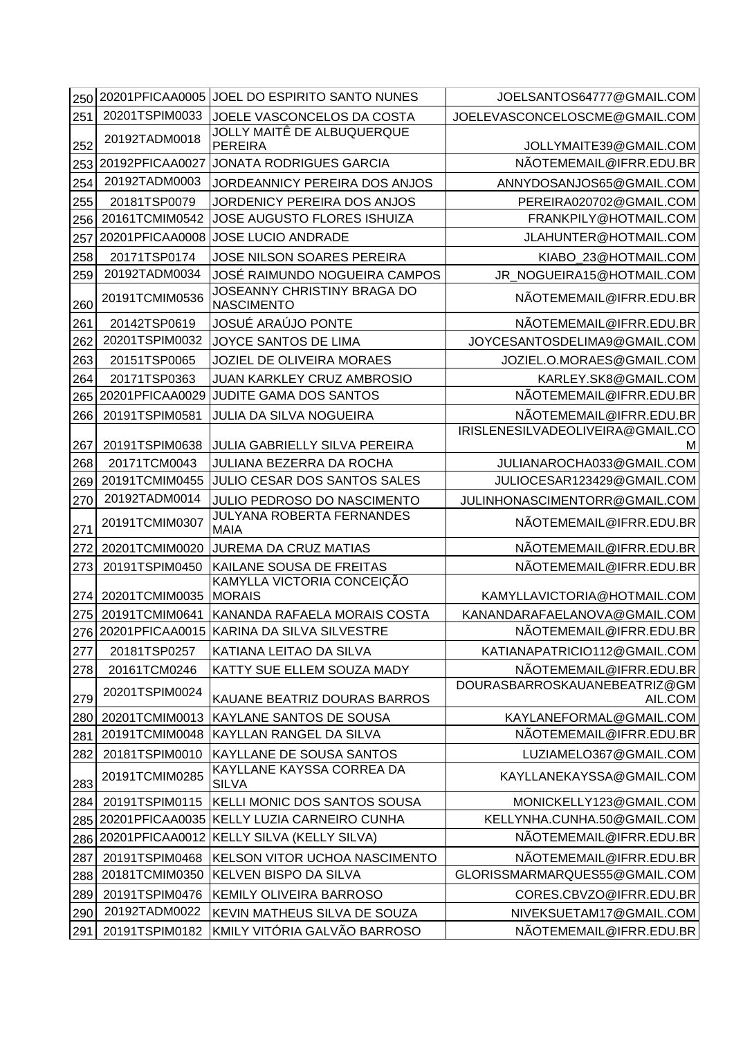| 250        | 20201PFICAA0005                 | JOEL DO ESPIRITO SANTO NUNES                                                      | JOELSANTOS64777@GMAIL.COM                                   |
|------------|---------------------------------|-----------------------------------------------------------------------------------|-------------------------------------------------------------|
| 251        | 20201TSPIM0033                  | JOELE VASCONCELOS DA COSTA                                                        | JOELEVASCONCELOSCME@GMAIL.COM                               |
| 252        | 20192TADM0018                   | JOLLY MAITÊ DE ALBUQUERQUE<br><b>PEREIRA</b>                                      | JOLLYMAITE39@GMAIL.COM                                      |
| 253        | 20192PFICAA0027                 | <b>JONATA RODRIGUES GARCIA</b>                                                    | NÃOTEMEMAIL@IFRR.EDU.BR                                     |
| 254        | 20192TADM0003                   | JORDEANNICY PEREIRA DOS ANJOS                                                     | ANNYDOSANJOS65@GMAIL.COM                                    |
| 255        | 20181TSP0079                    | JORDENICY PEREIRA DOS ANJOS                                                       | PEREIRA020702@GMAIL.COM                                     |
|            | 20161TCMIM0542                  | JOSE AUGUSTO FLORES ISHUIZA                                                       | FRANKPILY@HOTMAIL.COM                                       |
| 256        | 20201PFICAA0008                 | <b>JOSE LUCIO ANDRADE</b>                                                         | JLAHUNTER@HOTMAIL.COM                                       |
| 257        |                                 |                                                                                   |                                                             |
| 258        | 20171TSP0174                    | JOSE NILSON SOARES PEREIRA                                                        | KIABO 23@HOTMAIL.COM                                        |
| 259<br>260 | 20192TADM0034<br>20191TCMIM0536 | JOSÉ RAIMUNDO NOGUEIRA CAMPOS<br>JOSEANNY CHRISTINY BRAGA DO<br><b>NASCIMENTO</b> | JR NOGUEIRA15@HOTMAIL.COM<br>NÃOTEMEMAIL@IFRR.EDU.BR        |
| 261        | 20142TSP0619                    | JOSUÉ ARAÚJO PONTE                                                                | NÃOTEMEMAIL@IFRR.EDU.BR                                     |
| 262        | 20201TSPIM0032                  | JOYCE SANTOS DE LIMA                                                              | JOYCESANTOSDELIMA9@GMAIL.COM                                |
| 263        | 20151TSP0065                    | <b>JOZIEL DE OLIVEIRA MORAES</b>                                                  | JOZIEL.O.MORAES@GMAIL.COM                                   |
|            |                                 |                                                                                   |                                                             |
| 264        | 20171TSP0363<br>20201PFICAA0029 | <b>JUAN KARKLEY CRUZ AMBROSIO</b><br>JUDITE GAMA DOS SANTOS                       | KARLEY.SK8@GMAIL.COM<br>NÃOTEMEMAIL@IFRR.EDU.BR             |
| 265        |                                 |                                                                                   |                                                             |
| 266        | 20191TSPIM0581                  | <b>JULIA DA SILVA NOGUEIRA</b>                                                    | NÃOTEMEMAIL@IFRR.EDU.BR<br>IRISLENESILVADEOLIVEIRA@GMAIL.CO |
| 267        | 20191TSPIM0638                  | <b>JULIA GABRIELLY SILVA PEREIRA</b>                                              | м                                                           |
| 268        | 20171TCM0043                    | JULIANA BEZERRA DA ROCHA                                                          | JULIANAROCHA033@GMAIL.COM                                   |
| 269        | 20191TCMIM0455                  | <b>JULIO CESAR DOS SANTOS SALES</b>                                               | JULIOCESAR123429@GMAIL.COM                                  |
| 270        | 20192TADM0014                   | JULIO PEDROSO DO NASCIMENTO                                                       | JULINHONASCIMENTORR@GMAIL.COM                               |
| 271        | 20191TCMIM0307                  | JULYANA ROBERTA FERNANDES<br><b>MAIA</b>                                          | NÃOTEMEMAIL@IFRR.EDU.BR                                     |
| 272        | 20201TCMIM0020                  | <b>JUREMA DA CRUZ MATIAS</b>                                                      | NÃOTEMEMAIL@IFRR.EDU.BR                                     |
| 273        | 20191TSPIM0450                  | KAILANE SOUSA DE FREITAS                                                          | NÃOTEMEMAIL@IFRR.EDU.BR                                     |
|            |                                 | KAMYLLA VICTORIA CONCEIÇÃO                                                        |                                                             |
| 274        | 20201TCMIM0035                  | MORAIS                                                                            | KAMYLLAVICTORIA@HOTMAIL.COM                                 |
| 275        | 20191TCMIM0641                  | KANANDA RAFAELA MORAIS COSTA                                                      | KANANDARAFAELANOVA@GMAIL.COM                                |
|            | 276 20201 PFICA A0015           | KARINA DA SILVA SILVESTRE                                                         | NÃOTEMEMAIL@IFRR.EDU.BR                                     |
| 277        | 20181TSP0257                    | KATIANA LEITAO DA SILVA                                                           | KATIANAPATRICIO112@GMAIL.COM                                |
| 278        | 20161TCM0246                    | KATTY SUE ELLEM SOUZA MADY                                                        | NÃOTEMEMAIL@IFRR.EDU.BR                                     |
| 279        | 20201TSPIM0024                  | KAUANE BEATRIZ DOURAS BARROS                                                      | DOURASBARROSKAUANEBEATRIZ@GM<br>AIL.COM                     |
| 280        | 20201TCMIM0013                  | <b>KAYLANE SANTOS DE SOUSA</b>                                                    | KAYLANEFORMAL@GMAIL.COM                                     |
| 281        | 20191TCMIM0048                  | <b>KAYLLAN RANGEL DA SILVA</b>                                                    | NÃOTEMEMAIL@IFRR.EDU.BR                                     |
| 282        | 20181TSPIM0010                  | <b>KAYLLANE DE SOUSA SANTOS</b>                                                   | LUZIAMELO367@GMAIL.COM                                      |
| 283        | 20191TCMIM0285                  | KAYLLANE KAYSSA CORREA DA<br><b>SILVA</b>                                         | KAYLLANEKAYSSA@GMAIL.COM                                    |
| 284        | 20191TSPIM0115                  | KELLI MONIC DOS SANTOS SOUSA                                                      | MONICKELLY123@GMAIL.COM                                     |
| 285        | 20201PFICAA0035                 | KELLY LUZIA CARNEIRO CUNHA                                                        | KELLYNHA.CUNHA.50@GMAIL.COM                                 |
| 286        | 20201PFICAA0012                 | KELLY SILVA (KELLY SILVA)                                                         | NÃOTEMEMAIL@IFRR.EDU.BR                                     |
| 287        | 20191TSPIM0468                  | <b>KELSON VITOR UCHOA NASCIMENTO</b>                                              | NÃOTEMEMAIL@IFRR.EDU.BR                                     |
| 288        | 20181TCMIM0350                  | <b>KELVEN BISPO DA SILVA</b>                                                      | GLORISSMARMARQUES55@GMAIL.COM                               |
| 289        | 20191TSPIM0476                  | KEMILY OLIVEIRA BARROSO                                                           | CORES.CBVZO@IFRR.EDU.BR                                     |
| 290        | 20192TADM0022                   | KEVIN MATHEUS SILVA DE SOUZA                                                      | NIVEKSUETAM17@GMAIL.COM                                     |
| 291        | 20191TSPIM0182                  | KMILY VITÓRIA GALVÃO BARROSO                                                      | NÃOTEMEMAIL@IFRR.EDU.BR                                     |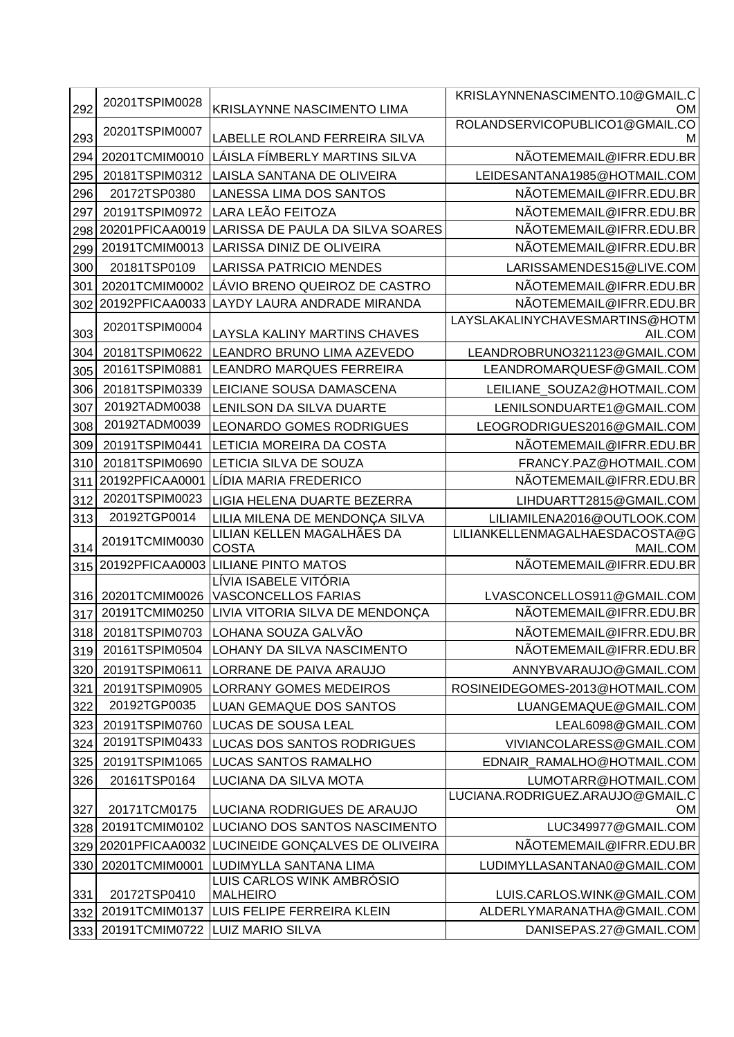| 292 | 20201TSPIM0028                 | KRISLAYNNE NASCIMENTO LIMA                    | KRISLAYNNENASCIMENTO.10@GMAIL.C<br>OM                    |
|-----|--------------------------------|-----------------------------------------------|----------------------------------------------------------|
| 293 | 20201TSPIM0007                 | LABELLE ROLAND FERREIRA SILVA                 | ROLANDSERVICOPUBLICO1@GMAIL.CO<br>м                      |
| 294 | 20201TCMIM0010                 | LÁISLA FÍMBERLY MARTINS SILVA                 | NÃOTEMEMAIL@IFRR.EDU.BR                                  |
| 295 | 20181TSPIM0312                 | LAISLA SANTANA DE OLIVEIRA                    | LEIDESANTANA1985@HOTMAIL.COM                             |
| 296 | 20172TSP0380                   | LANESSA LIMA DOS SANTOS                       | NÃOTEMEMAIL@IFRR.EDU.BR                                  |
| 297 | 20191TSPIM0972                 | LARA LEÃO FEITOZA                             | NÃOTEMEMAIL@IFRR.EDU.BR                                  |
| 298 | 20201PFICAA0019                | LARISSA DE PAULA DA SILVA SOARES              | NÃOTEMEMAIL@IFRR.EDU.BR                                  |
| 299 | 20191TCMIM0013                 | LARISSA DINIZ DE OLIVEIRA                     | NÃOTEMEMAIL@IFRR.EDU.BR                                  |
| 300 | 20181TSP0109                   | <b>LARISSA PATRICIO MENDES</b>                | LARISSAMENDES15@LIVE.COM                                 |
| 301 | 20201TCMIM0002                 | LÁVIO BRENO QUEIROZ DE CASTRO                 | NÃOTEMEMAIL@IFRR.EDU.BR                                  |
| 302 | 20192PFICAA0033                | LAYDY LAURA ANDRADE MIRANDA                   | NÃOTEMEMAIL@IFRR.EDU.BR                                  |
| 303 | 20201TSPIM0004                 | LAYSLA KALINY MARTINS CHAVES                  | LAYSLAKALINYCHAVESMARTINS@HOTM<br>AIL.COM                |
| 304 | 20181TSPIM0622                 | LEANDRO BRUNO LIMA AZEVEDO                    | LEANDROBRUNO321123@GMAIL.COM                             |
| 305 | 20161TSPIM0881                 | LEANDRO MARQUES FERREIRA                      | LEANDROMARQUESF@GMAIL.COM                                |
| 306 | 20181TSPIM0339                 | LEICIANE SOUSA DAMASCENA                      | LEILIANE_SOUZA2@HOTMAIL.COM                              |
| 307 | 20192TADM0038                  | LENILSON DA SILVA DUARTE                      | LENILSONDUARTE1@GMAIL.COM                                |
| 308 | 20192TADM0039                  | LEONARDO GOMES RODRIGUES                      | LEOGRODRIGUES2016@GMAIL.COM                              |
| 309 | 20191TSPIM0441                 | LETICIA MOREIRA DA COSTA                      | NÃOTEMEMAIL@IFRR.EDU.BR                                  |
| 310 | 20181TSPIM0690                 | LETICIA SILVA DE SOUZA                        | FRANCY.PAZ@HOTMAIL.COM                                   |
| 311 | 20192PFICAA0001                | LÍDIA MARIA FREDERICO                         | NÃOTEMEMAIL@IFRR.EDU.BR                                  |
| 312 | 20201TSPIM0023                 | LIGIA HELENA DUARTE BEZERRA                   | LIHDUARTT2815@GMAIL.COM                                  |
| 313 | 20192TGP0014                   | LILIA MILENA DE MENDONÇA SILVA                | LILIAMILENA2016@OUTLOOK.COM                              |
| 314 | 20191TCMIM0030                 | LILIAN KELLEN MAGALHÃES DA<br><b>COSTA</b>    | LILIANKELLENMAGALHAESDACOSTA@G<br>MAIL.COM               |
| 315 | 20192PFICAA0003                | <b>LILIANE PINTO MATOS</b>                    | NÃOTEMEMAIL@IFRR.EDU.BR                                  |
|     |                                | LÍVIA ISABELE VITÓRIA                         |                                                          |
| 316 | 20201TCMIM0026                 | VASCONCELLOS FARIAS                           | LVASCONCELLOS911@GMAIL.COM                               |
| 317 | 20191TCMIM0250                 | LIVIA VITORIA SILVA DE MENDONÇA               | NÃOTEMEMAIL@IFRR.EDU.BR                                  |
| 318 | 20181TSPIM0703                 | LOHANA SOUZA GALVÃO                           | NÃOTEMEMAIL@IFRR.EDU.BR                                  |
| 319 | 20161TSPIM0504                 | LOHANY DA SILVA NASCIMENTO                    | NÃOTEMEMAIL@IFRR.EDU.BR                                  |
| 320 | 20191TSPIM0611                 | LORRANE DE PAIVA ARAUJO                       | ANNYBVARAUJO@GMAIL.COM                                   |
| 321 | 20191TSPIM0905                 | <b>LORRANY GOMES MEDEIROS</b>                 | ROSINEIDEGOMES-2013@HOTMAIL.COM                          |
| 322 | 20192TGP0035                   | LUAN GEMAQUE DOS SANTOS                       | LUANGEMAQUE@GMAIL.COM                                    |
| 323 | 20191TSPIM0760                 | LUCAS DE SOUSA LEAL                           | LEAL6098@GMAIL.COM                                       |
| 324 | 20191TSPIM0433                 | LUCAS DOS SANTOS RODRIGUES                    | VIVIANCOLARESS@GMAIL.COM                                 |
| 325 | 20191TSPIM1065                 | <b>LUCAS SANTOS RAMALHO</b>                   | EDNAIR RAMALHO@HOTMAIL.COM                               |
| 326 | 20161TSP0164                   | LUCIANA DA SILVA MOTA                         | LUMOTARR@HOTMAIL.COM                                     |
| 327 | 20171TCM0175                   | LUCIANA RODRIGUES DE ARAUJO                   | LUCIANA.RODRIGUEZ.ARAUJO@GMAIL.C<br>OM                   |
| 328 | 20191TCMIM0102                 | LUCIANO DOS SANTOS NASCIMENTO                 | LUC349977@GMAIL.COM                                      |
| 329 | 20201PFICAA0032                | LUCINEIDE GONÇALVES DE OLIVEIRA               | NÃOTEMEMAIL@IFRR.EDU.BR                                  |
| 330 | 20201TCMIM0001                 | LUDIMYLLA SANTANA LIMA                        | LUDIMYLLASANTANA0@GMAIL.COM                              |
|     |                                | LUIS CARLOS WINK AMBRÓSIO                     |                                                          |
| 331 | 20172TSP0410<br>20191TCMIM0137 | <b>MALHEIRO</b><br>LUIS FELIPE FERREIRA KLEIN | LUIS.CARLOS.WINK@GMAIL.COM<br>ALDERLYMARANATHA@GMAIL.COM |
| 332 |                                |                                               |                                                          |
| 333 | 20191TCMIM0722                 | <b>LUIZ MARIO SILVA</b>                       | DANISEPAS.27@GMAIL.COM                                   |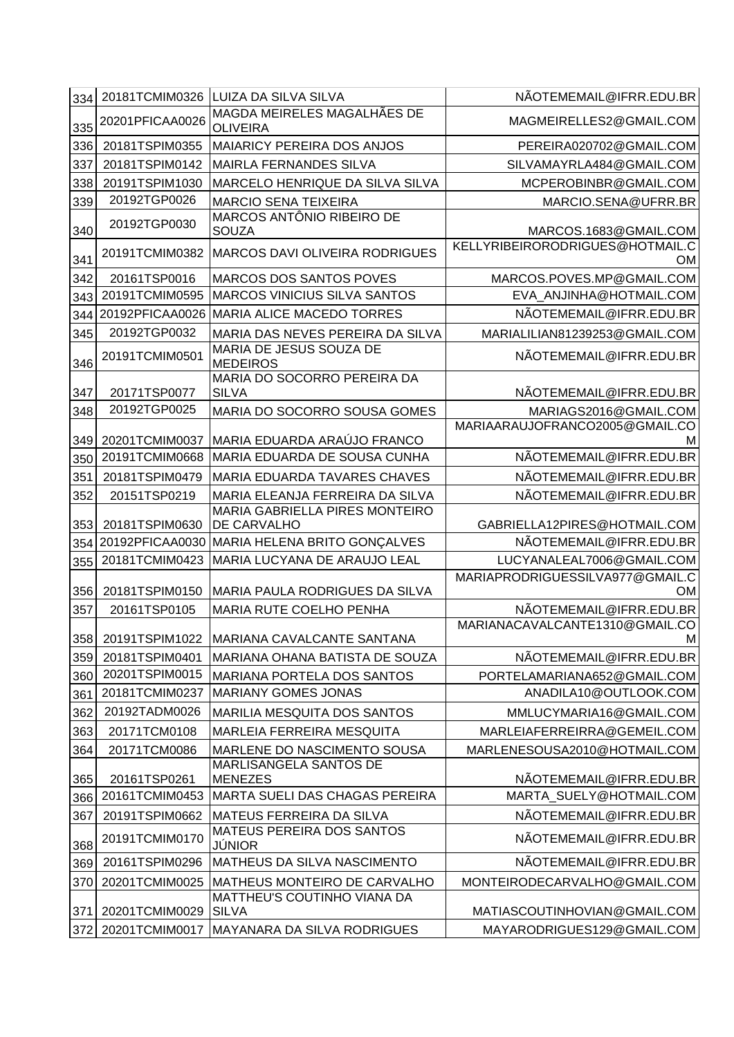| 334 | 20181TCMIM0326  | LUIZA DA SILVA SILVA                              | NÃOTEMEMAIL@IFRR.EDU.BR                                   |
|-----|-----------------|---------------------------------------------------|-----------------------------------------------------------|
| 335 | 20201PFICAA0026 | MAGDA MEIRELES MAGALHÃES DE<br><b>OLIVEIRA</b>    | MAGMEIRELLES2@GMAIL.COM                                   |
| 336 | 20181TSPIM0355  | MAIARICY PEREIRA DOS ANJOS                        | PEREIRA020702@GMAIL.COM                                   |
| 337 | 20181TSPIM0142  | MAIRLA FERNANDES SILVA                            | SILVAMAYRLA484@GMAIL.COM                                  |
| 338 | 20191TSPIM1030  | MARCELO HENRIQUE DA SILVA SILVA                   | MCPEROBINBR@GMAIL.COM                                     |
| 339 | 20192TGP0026    | <b>MARCIO SENA TEIXEIRA</b>                       | MARCIO.SENA@UFRR.BR                                       |
| 340 | 20192TGP0030    | MARCOS ANTÔNIO RIBEIRO DE<br><b>SOUZA</b>         | MARCOS.1683@GMAIL.COM                                     |
| 341 | 20191TCMIM0382  | <b>MARCOS DAVI OLIVEIRA RODRIGUES</b>             | KELLYRIBEIRORODRIGUES@HOTMAIL.C<br><b>OM</b>              |
| 342 | 20161TSP0016    | <b>MARCOS DOS SANTOS POVES</b>                    | MARCOS.POVES.MP@GMAIL.COM                                 |
| 343 | 20191TCMIM0595  | <b>MARCOS VINICIUS SILVA SANTOS</b>               | EVA_ANJINHA@HOTMAIL.COM                                   |
| 344 | 20192PFICAA0026 | <b>MARIA ALICE MACEDO TORRES</b>                  | NÃOTEMEMAIL@IFRR.EDU.BR                                   |
| 345 | 20192TGP0032    | MARIA DAS NEVES PEREIRA DA SILVA                  | MARIALILIAN81239253@GMAIL.COM                             |
| 346 | 20191TCMIM0501  | MARIA DE JESUS SOUZA DE<br><b>MEDEIROS</b>        | NÃOTEMEMAIL@IFRR.EDU.BR                                   |
| 347 | 20171TSP0077    | MARIA DO SOCORRO PEREIRA DA<br><b>SILVA</b>       | NÃOTEMEMAIL@IFRR.EDU.BR                                   |
| 348 | 20192TGP0025    | MARIA DO SOCORRO SOUSA GOMES                      | MARIAGS2016@GMAIL.COM                                     |
| 349 | 20201TCMIM0037  | MARIA EDUARDA ARAÚJO FRANCO                       | MARIAARAUJOFRANCO2005@GMAIL.CO<br>M                       |
| 350 | 20191TCMIM0668  | MARIA EDUARDA DE SOUSA CUNHA                      | NÃOTEMEMAIL@IFRR.EDU.BR                                   |
| 351 | 20181TSPIM0479  | <b>MARIA EDUARDA TAVARES CHAVES</b>               | NÃOTEMEMAIL@IFRR.EDU.BR                                   |
| 352 | 20151TSP0219    | MARIA ELEANJA FERREIRA DA SILVA                   | NÃOTEMEMAIL@IFRR.EDU.BR                                   |
| 353 | 20181TSPIM0630  | MARIA GABRIELLA PIRES MONTEIRO<br>DE CARVALHO     | GABRIELLA12PIRES@HOTMAIL.COM                              |
| 354 | 20192PFICAA0030 | MARIA HELENA BRITO GONÇALVES                      | NÃOTEMEMAIL@IFRR.EDU.BR                                   |
| 355 | 20181TCMIM0423  | MARIA LUCYANA DE ARAUJO LEAL                      | LUCYANALEAL7006@GMAIL.COM                                 |
|     |                 |                                                   | MARIAPRODRIGUESSILVA977@GMAIL.C                           |
| 356 | 20181TSPIM0150  | MARIA PAULA RODRIGUES DA SILVA                    | <b>OM</b>                                                 |
| 357 | 20161TSP0105    | MARIA RUTE COELHO PENHA                           | NÃOTEMEMAIL@IFRR.EDU.BR<br>MARIANACAVALCANTE1310@GMAIL.CO |
|     |                 | 358   20191TSPIM1022   MARIANA CAVALCANTE SANTANA | M                                                         |
| 359 | 20181TSPIM0401  | MARIANA OHANA BATISTA DE SOUZA                    | NÃOTEMEMAIL@IFRR.EDU.BR                                   |
| 360 | 20201TSPIM0015  | MARIANA PORTELA DOS SANTOS                        | PORTELAMARIANA652@GMAIL.COM                               |
| 361 | 20181TCMIM0237  | <b>MARIANY GOMES JONAS</b>                        | ANADILA10@OUTLOOK.COM                                     |
| 362 | 20192TADM0026   | <b>MARILIA MESQUITA DOS SANTOS</b>                | MMLUCYMARIA16@GMAIL.COM                                   |
| 363 | 20171TCM0108    | <b>MARLEIA FERREIRA MESQUITA</b>                  | MARLEIAFERREIRRA@GEMEIL.COM                               |
| 364 | 20171TCM0086    | MARLENE DO NASCIMENTO SOUSA                       | MARLENESOUSA2010@HOTMAIL.COM                              |
| 365 | 20161TSP0261    | MARLISANGELA SANTOS DE<br><b>MENEZES</b>          | NÃOTEMEMAIL@IFRR.EDU.BR                                   |
| 366 | 20161TCMIM0453  | MARTA SUELI DAS CHAGAS PEREIRA                    | MARTA SUELY@HOTMAIL.COM                                   |
| 367 | 20191TSPIM0662  | MATEUS FERREIRA DA SILVA                          | NÃOTEMEMAIL@IFRR.EDU.BR                                   |
| 368 | 20191TCMIM0170  | MATEUS PEREIRA DOS SANTOS<br><b>JÚNIOR</b>        | NÃOTEMEMAIL@IFRR.EDU.BR                                   |
| 369 | 20161TSPIM0296  | <b>MATHEUS DA SILVA NASCIMENTO</b>                | NÃOTEMEMAIL@IFRR.EDU.BR                                   |
| 370 | 20201TCMIM0025  | MATHEUS MONTEIRO DE CARVALHO                      | MONTEIRODECARVALHO@GMAIL.COM                              |
| 371 | 20201TCMIM0029  | MATTHEU'S COUTINHO VIANA DA<br><b>SILVA</b>       | MATIASCOUTINHOVIAN@GMAIL.COM                              |
| 372 | 20201TCMIM0017  | <b>MAYANARA DA SILVA RODRIGUES</b>                | MAYARODRIGUES129@GMAIL.COM                                |
|     |                 |                                                   |                                                           |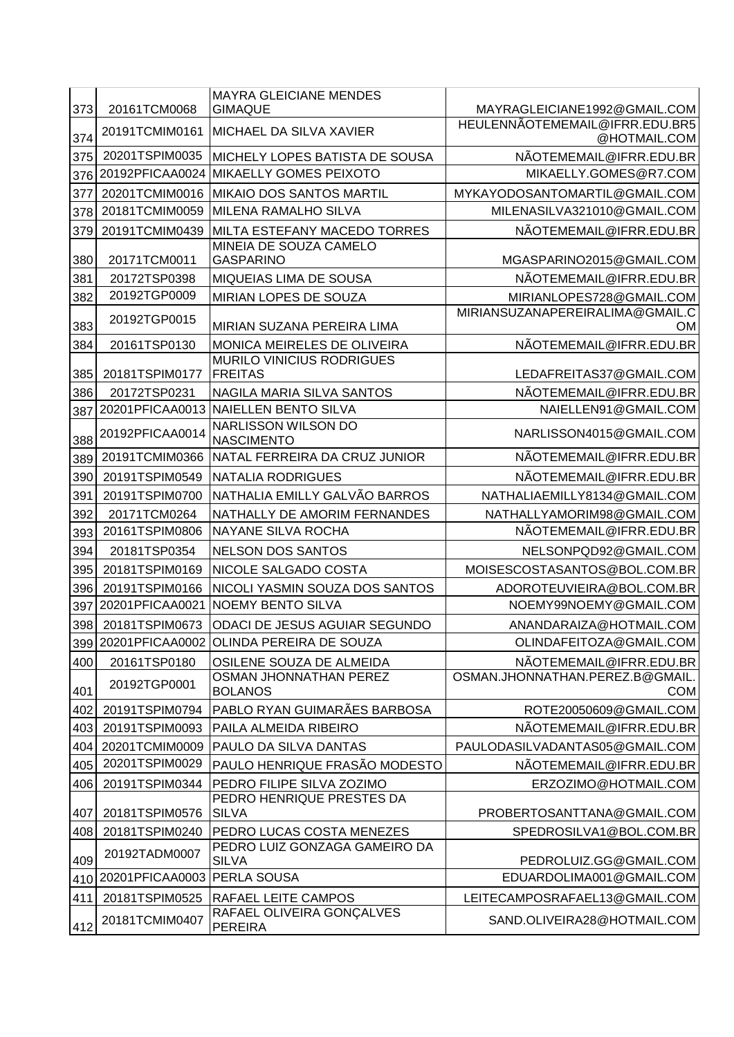|     |                                 | <b>MAYRA GLEICIANE MENDES</b>                     |                                                 |
|-----|---------------------------------|---------------------------------------------------|-------------------------------------------------|
| 373 | 20161TCM0068                    | <b>GIMAQUE</b>                                    | MAYRAGLEICIANE1992@GMAIL.COM                    |
| 374 | 20191TCMIM0161                  | <b>MICHAEL DA SILVA XAVIER</b>                    | HEULENNÃOTEMEMAIL@IFRR.EDU.BR5<br>@HOTMAIL.COM  |
| 375 | 20201TSPIM0035                  | MICHELY LOPES BATISTA DE SOUSA                    | NÃOTEMEMAIL@IFRR.EDU.BR                         |
| 376 | 20192PFICAA0024                 | MIKAELLY GOMES PEIXOTO                            | MIKAELLY.GOMES@R7.COM                           |
| 377 | 20201TCMIM0016                  | <b>MIKAIO DOS SANTOS MARTIL</b>                   | MYKAYODOSANTOMARTIL@GMAIL.COM                   |
| 378 | 20181TCMIM0059                  | <b>MILENA RAMALHO SILVA</b>                       | MILENASILVA321010@GMAIL.COM                     |
| 379 | 20191TCMIM0439                  | MILTA ESTEFANY MACEDO TORRES                      | NÃOTEMEMAIL@IFRR.EDU.BR                         |
| 380 | 20171TCM0011                    | MINEIA DE SOUZA CAMELO<br><b>GASPARINO</b>        | MGASPARINO2015@GMAIL.COM                        |
| 381 | 20172TSP0398                    | MIQUEIAS LIMA DE SOUSA                            | NÃOTEMEMAIL@IFRR.EDU.BR                         |
| 382 | 20192TGP0009                    | MIRIAN LOPES DE SOUZA                             | MIRIANLOPES728@GMAIL.COM                        |
| 383 | 20192TGP0015                    | MIRIAN SUZANA PEREIRA LIMA                        | MIRIANSUZANAPEREIRALIMA@GMAIL.C<br>OM           |
| 384 | 20161TSP0130                    | MONICA MEIRELES DE OLIVEIRA                       | NÃOTEMEMAIL@IFRR.EDU.BR                         |
|     |                                 | MURILO VINICIUS RODRIGUES                         |                                                 |
| 385 | 20181TSPIM0177                  | <b>FREITAS</b>                                    | LEDAFREITAS37@GMAIL.COM                         |
| 386 | 20172TSP0231<br>20201PFICAA0013 | NAGILA MARIA SILVA SANTOS<br>NAIELLEN BENTO SILVA | NÃOTEMEMAIL@IFRR.EDU.BR<br>NAIELLEN91@GMAIL.COM |
| 387 |                                 | <b>NARLISSON WILSON DO</b>                        |                                                 |
| 388 | 20192PFICAA0014                 | <b>NASCIMENTO</b>                                 | NARLISSON4015@GMAIL.COM                         |
| 389 | 20191TCMIM0366                  | NATAL FERREIRA DA CRUZ JUNIOR                     | NÃOTEMEMAIL@IFRR.EDU.BR                         |
| 390 | 20191TSPIM0549                  | <b>NATALIA RODRIGUES</b>                          | NÃOTEMEMAIL@IFRR.EDU.BR                         |
| 391 | 20191TSPIM0700                  | NATHALIA EMILLY GALVÃO BARROS                     | NATHALIAEMILLY8134@GMAIL.COM                    |
| 392 | 20171TCM0264                    | NATHALLY DE AMORIM FERNANDES                      | NATHALLYAMORIM98@GMAIL.COM                      |
| 393 | 20161TSPIM0806                  | NAYANE SILVA ROCHA                                | NÃOTEMEMAIL@IFRR.EDU.BR                         |
| 394 | 20181TSP0354                    | <b>NELSON DOS SANTOS</b>                          | NELSONPQD92@GMAIL.COM                           |
| 395 | 20181TSPIM0169                  | NICOLE SALGADO COSTA                              | MOISESCOSTASANTOS@BOL.COM.BR                    |
| 396 | 20191TSPIM0166                  | NICOLI YASMIN SOUZA DOS SANTOS                    | ADOROTEUVIEIRA@BOL.COM.BR                       |
| 397 | 20201PFICAA0021                 | <b>NOEMY BENTO SILVA</b>                          | NOEMY99NOEMY@GMAIL.COM                          |
|     | 398 20181TSPIM0673              | ODACI DE JESUS AGUIAR SEGUNDO                     | ANANDARAIZA@HOTMAIL.COM                         |
|     |                                 | 399 20201 PFICAA0002 OLINDA PEREIRA DE SOUZA      | OLINDAFEITOZA@GMAIL.COM                         |
| 400 | 20161TSP0180                    | OSILENE SOUZA DE ALMEIDA                          | NÃOTEMEMAIL@IFRR.EDU.BR                         |
| 401 | 20192TGP0001                    | <b>OSMAN JHONNATHAN PEREZ</b><br><b>BOLANOS</b>   | OSMAN.JHONNATHAN.PEREZ.B@GMAIL.<br><b>COM</b>   |
| 402 | 20191TSPIM0794                  | PABLO RYAN GUIMARÃES BARBOSA                      | ROTE20050609@GMAIL.COM                          |
| 403 | 20191TSPIM0093                  | PAILA ALMEIDA RIBEIRO                             | NÃOTEMEMAIL@IFRR.EDU.BR                         |
| 404 | 20201TCMIM0009                  | PAULO DA SILVA DANTAS                             | PAULODASILVADANTAS05@GMAIL.COM                  |
| 405 | 20201TSPIM0029                  | PAULO HENRIQUE FRASÃO MODESTO                     | NÃOTEMEMAIL@IFRR.EDU.BR                         |
| 406 | 20191TSPIM0344                  | PEDRO FILIPE SILVA ZOZIMO                         | ERZOZIMO@HOTMAIL.COM                            |
| 407 | 20181TSPIM0576                  | PEDRO HENRIQUE PRESTES DA<br><b>SILVA</b>         | PROBERTOSANTTANA@GMAIL.COM                      |
| 408 | 20181TSPIM0240                  | PEDRO LUCAS COSTA MENEZES                         | SPEDROSILVA1@BOL.COM.BR                         |
| 409 | 20192TADM0007                   | PEDRO LUIZ GONZAGA GAMEIRO DA<br><b>SILVA</b>     | PEDROLUIZ.GG@GMAIL.COM                          |
| 410 | 20201PFICAA0003                 | <b>PERLA SOUSA</b>                                | EDUARDOLIMA001@GMAIL.COM                        |
| 411 | 20181TSPIM0525                  | RAFAEL LEITE CAMPOS                               | LEITECAMPOSRAFAEL13@GMAIL.COM                   |
| 412 | 20181TCMIM0407                  | RAFAEL OLIVEIRA GONÇALVES<br><b>PEREIRA</b>       | SAND.OLIVEIRA28@HOTMAIL.COM                     |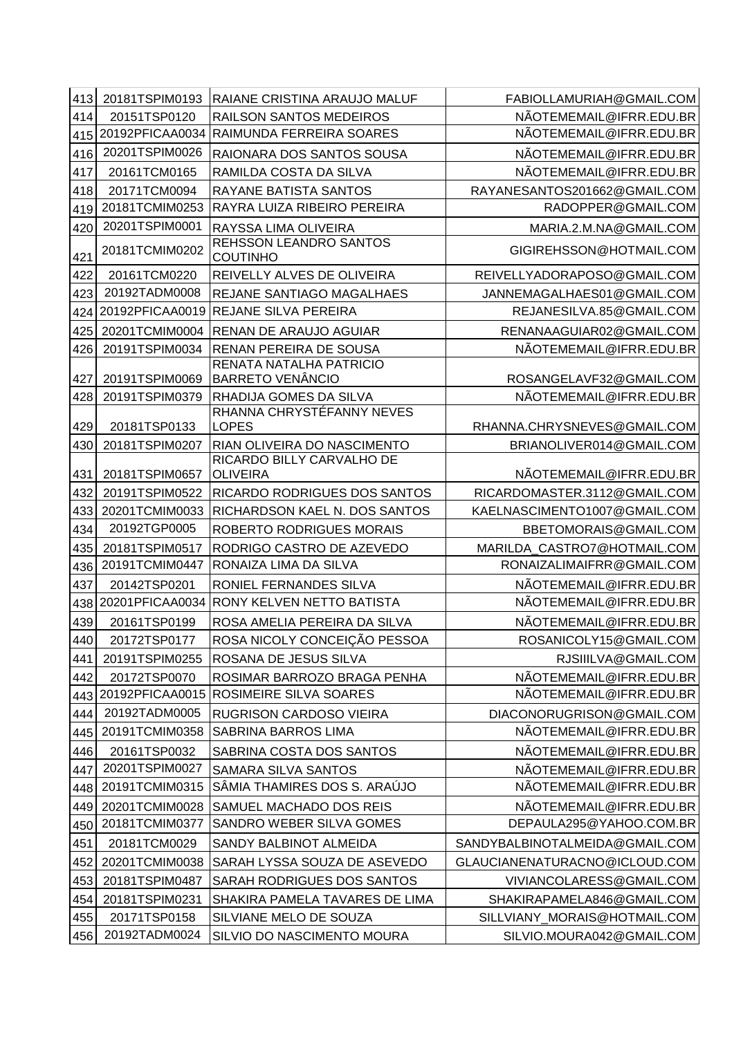| 413 | 20181TSPIM0193  | RAIANE CRISTINA ARAUJO MALUF                       | FABIOLLAMURIAH@GMAIL.COM       |
|-----|-----------------|----------------------------------------------------|--------------------------------|
| 414 | 20151TSP0120    | RAILSON SANTOS MEDEIROS                            | NÃOTEMEMAIL@IFRR.EDU.BR        |
| 415 | 20192PFICAA0034 | RAIMUNDA FERREIRA SOARES                           | NÃOTEMEMAIL@IFRR.EDU.BR        |
| 416 | 20201TSPIM0026  | RAIONARA DOS SANTOS SOUSA                          | NÃOTEMEMAIL@IFRR.EDU.BR        |
| 417 | 20161TCM0165    | RAMILDA COSTA DA SILVA                             | NÃOTEMEMAIL@IFRR.EDU.BR        |
| 418 | 20171TCM0094    | RAYANE BATISTA SANTOS                              | RAYANESANTOS201662@GMAIL.COM   |
| 419 | 20181TCMIM0253  | RAYRA LUIZA RIBEIRO PEREIRA                        | RADOPPER@GMAIL.COM             |
| 420 | 20201TSPIM0001  | RAYSSA LIMA OLIVEIRA                               | MARIA.2.M.NA@GMAIL.COM         |
| 421 | 20181TCMIM0202  | REHSSON LEANDRO SANTOS<br><b>COUTINHO</b>          | GIGIREHSSON@HOTMAIL.COM        |
| 422 | 20161TCM0220    | REIVELLY ALVES DE OLIVEIRA                         | REIVELLYADORAPOSO@GMAIL.COM    |
| 423 | 20192TADM0008   | REJANE SANTIAGO MAGALHAES                          | JANNEMAGALHAES01@GMAIL.COM     |
| 424 | 20192PFICAA0019 | REJANE SILVA PEREIRA                               | REJANESILVA.85@GMAIL.COM       |
| 425 | 20201TCMIM0004  | RENAN DE ARAUJO AGUIAR                             | RENANAAGUIAR02@GMAIL.COM       |
| 426 | 20191TSPIM0034  | RENAN PEREIRA DE SOUSA                             | NÃOTEMEMAIL@IFRR.EDU.BR        |
| 427 | 20191TSPIM0069  | RENATA NATALHA PATRICIO<br><b>BARRETO VENÂNCIO</b> | ROSANGELAVF32@GMAIL.COM        |
| 428 | 20191TSPIM0379  | RHADIJA GOMES DA SILVA                             | NÃOTEMEMAIL@IFRR.EDU.BR        |
|     |                 | RHANNA CHRYSTÉFANNY NEVES                          |                                |
| 429 | 20181TSP0133    | <b>LOPES</b>                                       | RHANNA.CHRYSNEVES@GMAIL.COM    |
| 430 | 20181TSPIM0207  | RIAN OLIVEIRA DO NASCIMENTO                        | BRIANOLIVER014@GMAIL.COM       |
|     |                 | RICARDO BILLY CARVALHO DE                          |                                |
| 431 | 20181TSPIM0657  | <b>OLIVEIRA</b>                                    | NÃOTEMEMAIL@IFRR.EDU.BR        |
| 432 | 20191TSPIM0522  | RICARDO RODRIGUES DOS SANTOS                       | RICARDOMASTER.3112@GMAIL.COM   |
| 433 | 20201TCMIM0033  | RICHARDSON KAEL N. DOS SANTOS                      | KAELNASCIMENTO1007@GMAIL.COM   |
| 434 | 20192TGP0005    | ROBERTO RODRIGUES MORAIS                           | BBETOMORAIS@GMAIL.COM          |
| 435 | 20181TSPIM0517  | RODRIGO CASTRO DE AZEVEDO                          | MARILDA_CASTRO7@HOTMAIL.COM    |
| 436 | 20191TCMIM0447  | RONAIZA LIMA DA SILVA                              | RONAIZALIMAIFRR@GMAIL.COM      |
| 437 | 20142TSP0201    | RONIEL FERNANDES SILVA                             | NÃOTEMEMAIL@IFRR.EDU.BR        |
| 438 | 20201PFICAA0034 | RONY KELVEN NETTO BATISTA                          | NÃOTEMEMAIL@IFRR.EDU.BR        |
| 439 | 20161TSP0199    | ROSA AMELIA PEREIRA DA SILVA                       | NÃOTEMEMAIL@IFRR.EDU.BR        |
| 440 | 20172TSP0177    | ROSA NICOLY CONCEIÇÃO PESSOA                       | ROSANICOLY15@GMAIL.COM         |
| 441 | 20191TSPIM0255  | ROSANA DE JESUS SILVA                              | RJSIIILVA@GMAIL.COM            |
| 442 | 20172TSP0070    | ROSIMAR BARROZO BRAGA PENHA                        | NÃOTEMEMAIL@IFRR.EDU.BR        |
| 443 | 20192PFICAA0015 | <b>ROSIMEIRE SILVA SOARES</b>                      | NÃOTEMEMAIL@IFRR.EDU.BR        |
| 444 | 20192TADM0005   | RUGRISON CARDOSO VIEIRA                            | DIACONORUGRISON@GMAIL.COM      |
| 445 | 20191TCMIM0358  | <b>SABRINA BARROS LIMA</b>                         | NÃOTEMEMAIL@IFRR.EDU.BR        |
| 446 | 20161TSP0032    | SABRINA COSTA DOS SANTOS                           | NÃOTEMEMAIL@IFRR.EDU.BR        |
| 447 | 20201TSPIM0027  | SAMARA SILVA SANTOS                                | NÃOTEMEMAIL@IFRR.EDU.BR        |
| 448 | 20191TCMIM0315  | SÂMIA THAMIRES DOS S. ARAÚJO                       | NÃOTEMEMAIL@IFRR.EDU.BR        |
| 449 | 20201TCMIM0028  | SAMUEL MACHADO DOS REIS                            | NÃOTEMEMAIL@IFRR.EDU.BR        |
| 450 | 20181TCMIM0377  | SANDRO WEBER SILVA GOMES                           | DEPAULA295@YAHOO.COM.BR        |
| 451 | 20181TCM0029    | SANDY BALBINOT ALMEIDA                             | SANDYBALBINOTALMEIDA@GMAIL.COM |
| 452 | 20201TCMIM0038  | SARAH LYSSA SOUZA DE ASEVEDO                       | GLAUCIANENATURACNO@ICLOUD.COM  |
| 453 | 20181TSPIM0487  | SARAH RODRIGUES DOS SANTOS                         | VIVIANCOLARESS@GMAIL.COM       |
| 454 | 20181TSPIM0231  | SHAKIRA PAMELA TAVARES DE LIMA                     | SHAKIRAPAMELA846@GMAIL.COM     |
| 455 | 20171TSP0158    | SILVIANE MELO DE SOUZA                             | SILLVIANY_MORAIS@HOTMAIL.COM   |
| 456 | 20192TADM0024   | SILVIO DO NASCIMENTO MOURA                         | SILVIO.MOURA042@GMAIL.COM      |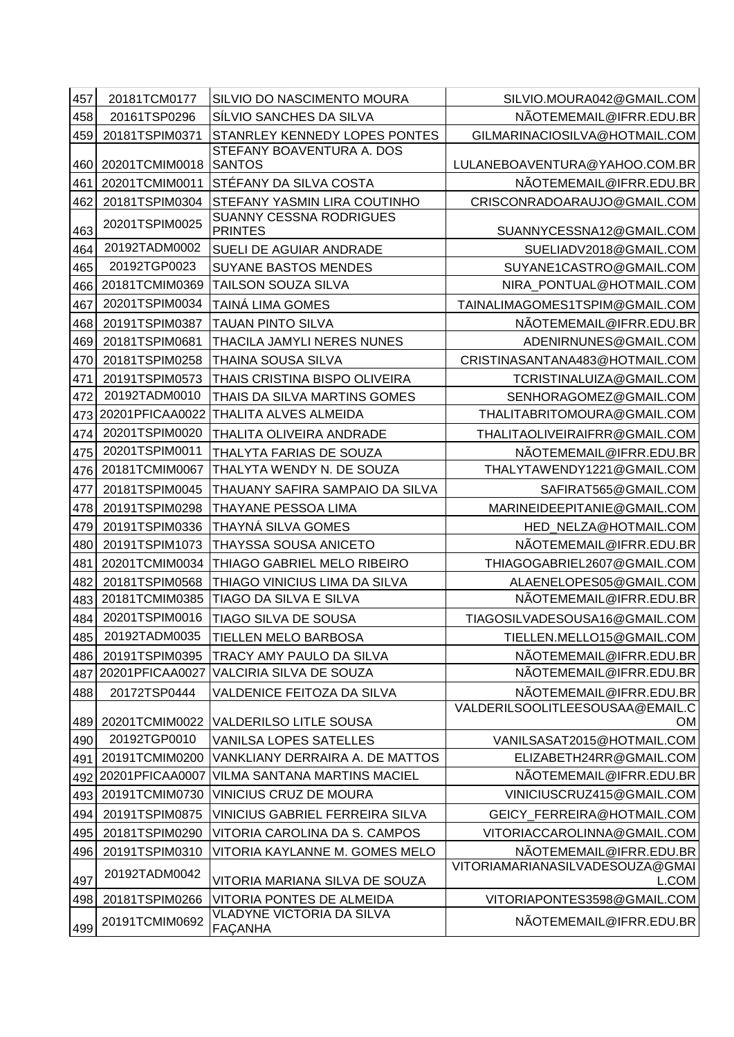| 457 | 20181TCM0177    | SILVIO DO NASCIMENTO MOURA                                       | SILVIO.MOURA042@GMAIL.COM                                  |
|-----|-----------------|------------------------------------------------------------------|------------------------------------------------------------|
| 458 | 20161TSP0296    | SÍLVIO SANCHES DA SILVA                                          | NÃOTEMEMAIL@IFRR.EDU.BR                                    |
| 459 | 20181TSPIM0371  | STANRLEY KENNEDY LOPES PONTES                                    | GILMARINACIOSILVA@HOTMAIL.COM                              |
|     |                 | STEFANY BOAVENTURA A. DOS                                        |                                                            |
| 460 | 20201TCMIM0018  | <b>SANTOS</b>                                                    | LULANEBOAVENTURA@YAHOO.COM.BR                              |
| 461 | 20201TCMIM0011  | STÉFANY DA SILVA COSTA                                           | NÃOTEMEMAIL@IFRR.EDU.BR                                    |
| 462 | 20181TSPIM0304  | STEFANY YASMIN LIRA COUTINHO<br>SUANNY CESSNA RODRIGUES          | CRISCONRADOARAUJO@GMAIL.COM                                |
| 463 | 20201TSPIM0025  | <b>PRINTES</b>                                                   | SUANNYCESSNA12@GMAIL.COM                                   |
| 464 | 20192TADM0002   | SUELI DE AGUIAR ANDRADE                                          | SUELIADV2018@GMAIL.COM                                     |
| 465 | 20192TGP0023    | <b>SUYANE BASTOS MENDES</b>                                      | SUYANE1CASTRO@GMAIL.COM                                    |
| 466 | 20181TCMIM0369  | TAILSON SOUZA SILVA                                              | NIRA_PONTUAL@HOTMAIL.COM                                   |
| 467 | 20201TSPIM0034  | <b>TAINÁ LIMA GOMES</b>                                          | TAINALIMAGOMES1TSPIM@GMAIL.COM                             |
| 468 | 20191TSPIM0387  | <b>TAUAN PINTO SILVA</b>                                         | NÃOTEMEMAIL@IFRR.EDU.BR                                    |
| 469 | 20181TSPIM0681  | THACILA JAMYLI NERES NUNES                                       | ADENIRNUNES@GMAIL.COM                                      |
| 470 | 20181TSPIM0258  | <b>THAINA SOUSA SILVA</b>                                        | CRISTINASANTANA483@HOTMAIL.COM                             |
| 471 | 20191TSPIM0573  | THAIS CRISTINA BISPO OLIVEIRA                                    | TCRISTINALUIZA@GMAIL.COM                                   |
| 472 | 20192TADM0010   | THAIS DA SILVA MARTINS GOMES                                     | SENHORAGOMEZ@GMAIL.COM                                     |
| 473 | 20201PFICAA0022 | THALITA ALVES ALMEIDA                                            | THALITABRITOMOURA@GMAIL.COM                                |
| 474 | 20201TSPIM0020  | THALITA OLIVEIRA ANDRADE                                         | THALITAOLIVEIRAIFRR@GMAIL.COM                              |
| 475 | 20201TSPIM0011  | THALYTA FARIAS DE SOUZA                                          | NÃOTEMEMAIL@IFRR.EDU.BR                                    |
| 476 | 20181TCMIM0067  | THALYTA WENDY N. DE SOUZA                                        | THALYTAWENDY1221@GMAIL.COM                                 |
| 477 | 20181TSPIM0045  | THAUANY SAFIRA SAMPAIO DA SILVA                                  | SAFIRAT565@GMAIL.COM                                       |
| 478 | 20191TSPIM0298  | THAYANE PESSOA LIMA                                              | MARINEIDEEPITANIE@GMAIL.COM                                |
| 479 | 20191TSPIM0336  | THAYNÁ SILVA GOMES                                               | HED_NELZA@HOTMAIL.COM                                      |
| 480 | 20191TSPIM1073  | THAYSSA SOUSA ANICETO                                            | NÃOTEMEMAIL@IFRR.EDU.BR                                    |
| 481 | 20201TCMIM0034  | THIAGO GABRIEL MELO RIBEIRO                                      | THIAGOGABRIEL2607@GMAIL.COM                                |
| 482 | 20181TSPIM0568  | THIAGO VINICIUS LIMA DA SILVA                                    | ALAENELOPES05@GMAIL.COM                                    |
| 483 | 20181TCMIM0385  | TIAGO DA SILVA E SILVA                                           | NÃOTEMEMAIL@IFRR.EDU.BR                                    |
| 484 | 20201TSPIM0016  | TIAGO SILVA DE SOUSA                                             | TIAGOSILVADESOUSA16@GMAIL.COM                              |
| 485 | 20192TADM0035   | TIELLEN MELO BARBOSA                                             | TIELLEN.MELLO15@GMAIL.COM                                  |
| 486 | 20191TSPIM0395  | TRACY AMY PAULO DA SILVA                                         | NÃOTEMEMAIL@IFRR.EDU.BR                                    |
| 487 | 20201PFICAA0027 | <b>VALCIRIA SILVA DE SOUZA</b>                                   | NÃOTEMEMAIL@IFRR.EDU.BR                                    |
| 488 | 20172TSP0444    | VALDENICE FEITOZA DA SILVA                                       | NÃOTEMEMAIL@IFRR.EDU.BR                                    |
| 489 | 20201TCMIM0022  | <b>VALDERILSO LITLE SOUSA</b>                                    | VALDERILSOOLITLEESOUSAA@EMAIL.C                            |
|     | 20192TGP0010    |                                                                  | <b>OM</b>                                                  |
| 490 | 20191TCMIM0200  | <b>VANILSA LOPES SATELLES</b><br>VANKLIANY DERRAIRA A. DE MATTOS | VANILSASAT2015@HOTMAIL.COM<br>ELIZABETH24RR@GMAIL.COM      |
| 491 | 20201PFICAA0007 | <b>VILMA SANTANA MARTINS MACIEL</b>                              | NÃOTEMEMAIL@IFRR.EDU.BR                                    |
| 492 | 20191TCMIM0730  | <b>VINICIUS CRUZ DE MOURA</b>                                    | VINICIUSCRUZ415@GMAIL.COM                                  |
| 493 |                 |                                                                  |                                                            |
| 494 | 20191TSPIM0875  | <b>VINICIUS GABRIEL FERREIRA SILVA</b>                           | GEICY_FERREIRA@HOTMAIL.COM                                 |
| 495 | 20181TSPIM0290  | VITORIA CAROLINA DA S. CAMPOS                                    | VITORIACCAROLINNA@GMAIL.COM                                |
| 496 | 20191TSPIM0310  | VITORIA KAYLANNE M. GOMES MELO                                   | NÃOTEMEMAIL@IFRR.EDU.BR<br>VITORIAMARIANASILVADESOUZA@GMAI |
| 497 | 20192TADM0042   | VITORIA MARIANA SILVA DE SOUZA                                   | L.COM                                                      |
| 498 | 20181TSPIM0266  | VITORIA PONTES DE ALMEIDA                                        | VITORIAPONTES3598@GMAIL.COM                                |
| 499 | 20191TCMIM0692  | <b>VLADYNE VICTORIA DA SILVA</b><br><b>FAÇANHA</b>               | NÃOTEMEMAIL@IFRR.EDU.BR                                    |